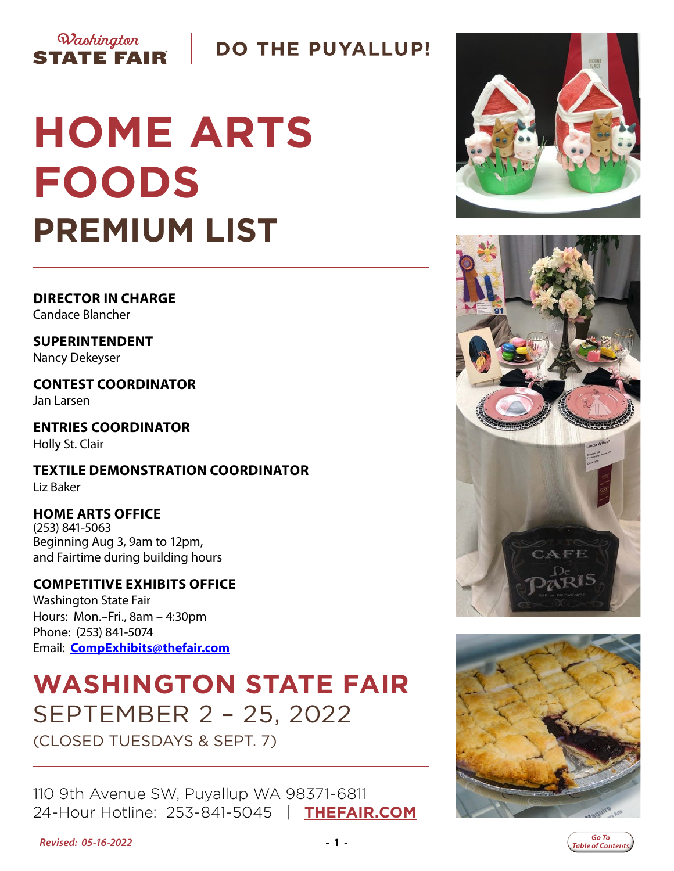

### **DO THE PUYALLUP!**

# **HOME ARTS FOODS PREMIUM LIST**

**DIRECTOR IN CHARGE** Candace Blancher

**SUPERINTENDENT** Nancy Dekeyser

**CONTEST COORDINATOR** Jan Larsen

**ENTRIES COORDINATOR** Holly St. Clair

**TEXTILE DEMONSTRATION COORDINATOR** Liz Baker

#### **HOME ARTS OFFICE** (253) 841-5063

Beginning Aug 3, 9am to 12pm, and Fairtime during building hours

### **COMPETITIVE EXHIBITS OFFICE**

Washington State Fair Hours: Mon.–Fri., 8am – 4:30pm Phone: (253) 841-5074 Email: **[CompExhibits@thefair.com](mailto:CompExhibits%40thefair.com?subject=Home%20Arts%20inquiry)**

# **WASHINGTON STATE FAIR** SEPTEMBER 2 – 25, 2022

(CLOSED TUESDAYS & SEPT. 7)

110 9th Avenue SW, Puyallup WA 98371-6811 24-Hour Hotline: 253-841-5045 | **[THEFAIR.COM](http://www.thefair.com)**







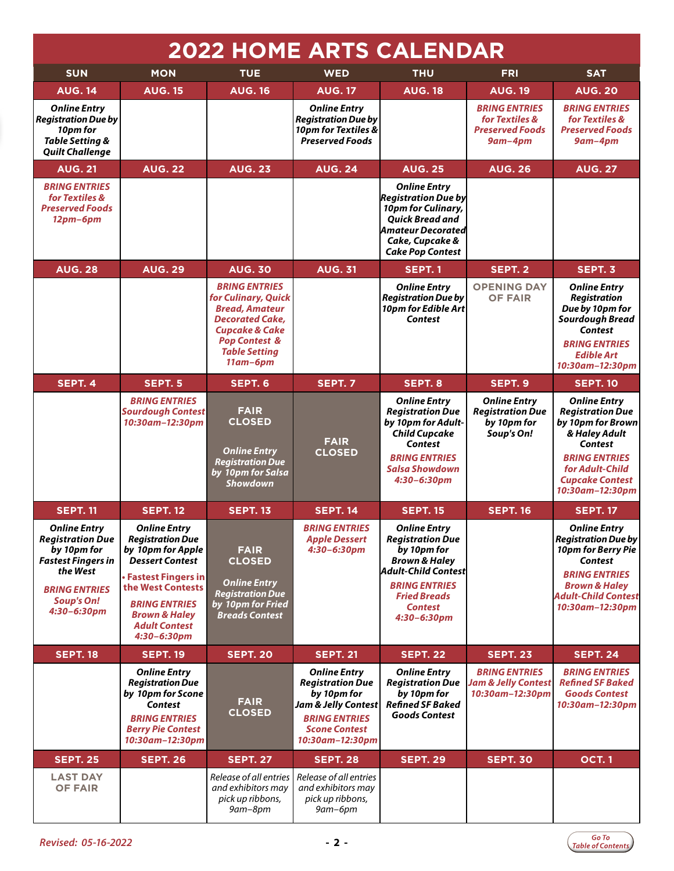<span id="page-1-0"></span>

|                                                                                                                                                                    |                                                                                                                                                                                                                                     |                                                                                                                                                                                                |                                                                                                                                                         | <b>2022 HOME ARTS CALENDAR</b>                                                                                                                                                                   |                                                                                |                                                                                                                                                                                                  |
|--------------------------------------------------------------------------------------------------------------------------------------------------------------------|-------------------------------------------------------------------------------------------------------------------------------------------------------------------------------------------------------------------------------------|------------------------------------------------------------------------------------------------------------------------------------------------------------------------------------------------|---------------------------------------------------------------------------------------------------------------------------------------------------------|--------------------------------------------------------------------------------------------------------------------------------------------------------------------------------------------------|--------------------------------------------------------------------------------|--------------------------------------------------------------------------------------------------------------------------------------------------------------------------------------------------|
| <b>SUN</b>                                                                                                                                                         | <b>MON</b>                                                                                                                                                                                                                          | <b>TUE</b>                                                                                                                                                                                     | <b>WED</b>                                                                                                                                              | <b>THU</b>                                                                                                                                                                                       | <b>FRI</b>                                                                     | <b>SAT</b>                                                                                                                                                                                       |
| <b>AUG. 14</b>                                                                                                                                                     | <b>AUG. 15</b>                                                                                                                                                                                                                      | <b>AUG. 16</b>                                                                                                                                                                                 | <b>AUG. 17</b>                                                                                                                                          | <b>AUG. 18</b>                                                                                                                                                                                   | <b>AUG. 19</b>                                                                 | <b>AUG. 20</b>                                                                                                                                                                                   |
| <b>Online Entry</b><br><b>Registration Due by</b><br>10pm for<br>Table Setting &<br><b>Quilt Challenge</b>                                                         |                                                                                                                                                                                                                                     |                                                                                                                                                                                                | <b>Online Entry</b><br><b>Registration Due by</b><br>10pm for Textiles &<br><b>Preserved Foods</b>                                                      |                                                                                                                                                                                                  | <b>BRING ENTRIES</b><br>for Textiles &<br><b>Preserved Foods</b><br>$9$ am-4pm | <b>BRING ENTRIES</b><br>for Textiles &<br><b>Preserved Foods</b><br>$9$ am-4pm                                                                                                                   |
| <b>AUG. 21</b>                                                                                                                                                     | <b>AUG. 22</b>                                                                                                                                                                                                                      | <b>AUG. 23</b>                                                                                                                                                                                 | <b>AUG. 24</b>                                                                                                                                          | <b>AUG. 25</b>                                                                                                                                                                                   | <b>AUG. 26</b>                                                                 | <b>AUG. 27</b>                                                                                                                                                                                   |
| <b>BRING ENTRIES</b><br>for Textiles &<br><b>Preserved Foods</b><br>$12pm-6pm$                                                                                     |                                                                                                                                                                                                                                     |                                                                                                                                                                                                |                                                                                                                                                         | <b>Online Entry</b><br>$ $ Registration Due by $ $<br>10pm for Culinary,<br><b>Ouick Bread and</b><br>Amateur Decorated<br>Cake, Cupcake &<br><b>Cake Pop Contest</b>                            |                                                                                |                                                                                                                                                                                                  |
| <b>AUG. 28</b>                                                                                                                                                     | <b>AUG. 29</b>                                                                                                                                                                                                                      | <b>AUG. 30</b>                                                                                                                                                                                 | <b>AUG. 31</b>                                                                                                                                          | SEPT. 1                                                                                                                                                                                          | SEPT. 2                                                                        | SEPT. 3                                                                                                                                                                                          |
|                                                                                                                                                                    |                                                                                                                                                                                                                                     | <b>BRING ENTRIES</b><br>for Culinary, Quick<br><b>Bread, Amateur</b><br><b>Decorated Cake,</b><br><b>Cupcake &amp; Cake</b><br><b>Pop Contest &amp;</b><br><b>Table Setting</b><br>$11$ am-6pm |                                                                                                                                                         | <b>Online Entry</b><br><b>Registration Due by</b><br>10pm for Edible Art<br>Contest                                                                                                              | <b>OPENING DAY</b><br><b>OF FAIR</b>                                           | <b>Online Entry</b><br><b>Registration</b><br>Due by 10pm for<br><b>Sourdough Bread</b><br>Contest<br><b>BRING ENTRIES</b><br><b>Edible Art</b><br>10:30am-12:30pm                               |
| SEPT. 4                                                                                                                                                            | SEPT. 5                                                                                                                                                                                                                             | SEPT. 6                                                                                                                                                                                        | SEPT. 7                                                                                                                                                 | SEPT. 8                                                                                                                                                                                          | SEPT. 9                                                                        | <b>SEPT. 10</b>                                                                                                                                                                                  |
|                                                                                                                                                                    | <b>BRING ENTRIES</b><br><b>Sourdough Contest</b><br>10:30am-12:30pm                                                                                                                                                                 | <b>FAIR</b><br><b>CLOSED</b><br><b>Online Entry</b><br><b>Registration Due</b><br>by 10pm for Salsa<br><b>Showdown</b>                                                                         | <b>FAIR</b><br><b>CLOSED</b>                                                                                                                            | <b>Online Entry</b><br><b>Registration Due</b><br>by 10pm for Adult-<br><b>Child Cupcake</b><br>Contest<br><b>BRING ENTRIES</b><br><b>Salsa Showdown</b><br>$4:30 - 6:30$ pm                     | <b>Online Entry</b><br><b>Registration Due</b><br>by 10pm for<br>Soup's On!    | <b>Online Entry</b><br><b>Registration Due</b><br>by 10pm for Brown<br>& Haley Adult<br>Contest<br><b>BRING ENTRIES</b><br>for Adult-Child<br><b>Cupcake Contest</b><br>10:30am-12:30pm          |
| <b>SEPT. 11</b>                                                                                                                                                    | <b>SEPT. 12</b>                                                                                                                                                                                                                     | <b>SEPT. 13</b>                                                                                                                                                                                | <b>SEPT. 14</b>                                                                                                                                         | <b>SEPT. 15</b>                                                                                                                                                                                  | <b>SEPT. 16</b>                                                                | <b>SEPT. 17</b>                                                                                                                                                                                  |
| <b>Online Entry</b><br><b>Registration Due</b><br>by 10pm for<br><b>Fastest Fingers in</b><br>the West<br><b>BRING ENTRIES</b><br><b>Soup's On!</b><br>4:30-6:30pm | Online Entry<br><b>Registration Due</b><br>by 10pm for Apple<br><b>Dessert Contest</b><br>· Fastest Fingers in<br>the West Contests<br><b>BRING ENTRIES</b><br><b>Brown &amp; Haley</b><br><b>Adult Contest</b><br>$4:30 - 6:30$ pm | <b>FAIR</b><br><b>CLOSED</b><br><b>Online Entry</b><br><b>Registration Due</b><br>by 10pm for Fried<br><b>Breads Contest</b>                                                                   | <b>BRING ENTRIES</b><br><b>Apple Dessert</b><br>$4:30 - 6:30$ pm                                                                                        | <b>Online Entry</b><br><b>Registration Due</b><br>by 10pm for<br><b>Brown &amp; Haley</b><br>Adult-Child Contest<br><b>BRING ENTRIES</b><br><b>Fried Breads</b><br><b>Contest</b><br>4:30-6:30pm |                                                                                | <b>Online Entry</b><br>$\vert$ Registration Due by $\vert$<br>10pm for Berry Pie<br>Contest<br><b>BRING ENTRIES</b><br><b>Brown &amp; Haley</b><br><b>Adult-Child Contest</b><br>10:30am-12:30pm |
| <b>SEPT. 18</b>                                                                                                                                                    | <b>SEPT. 19</b>                                                                                                                                                                                                                     | <b>SEPT. 20</b>                                                                                                                                                                                | <b>SEPT. 21</b>                                                                                                                                         | <b>SEPT. 22</b>                                                                                                                                                                                  | <b>SEPT. 23</b>                                                                | <b>SEPT. 24</b>                                                                                                                                                                                  |
|                                                                                                                                                                    | <b>Online Entry</b><br><b>Registration Due</b><br>by 10pm for Scone<br><b>Contest</b><br><b>BRING ENTRIES</b><br><b>Berry Pie Contest</b><br>10:30am-12:30pm                                                                        | <b>FAIR</b><br><b>CLOSED</b>                                                                                                                                                                   | <b>Online Entry</b><br><b>Registration Due</b><br>by 10pm for<br>Jam & Jelly Contest<br><b>BRING ENTRIES</b><br><b>Scone Contest</b><br>10:30am-12:30pm | <b>Online Entry</b><br><b>Registration Due</b><br>by 10pm for<br><b>Refined SF Baked</b><br><b>Goods Contest</b>                                                                                 | <b>BRING ENTRIES</b><br><b>Jam &amp; Jelly Contest</b><br>10:30am-12:30pm      | <b>BRING ENTRIES</b><br><b>Refined SF Baked</b><br><b>Goods Contest</b><br>10:30am-12:30pm                                                                                                       |
| <b>SEPT. 25</b>                                                                                                                                                    | <b>SEPT. 26</b>                                                                                                                                                                                                                     | <b>SEPT. 27</b>                                                                                                                                                                                | <b>SEPT. 28</b>                                                                                                                                         | <b>SEPT. 29</b>                                                                                                                                                                                  | <b>SEPT. 30</b>                                                                | <b>OCT.1</b>                                                                                                                                                                                     |
| <b>LAST DAY</b><br><b>OF FAIR</b>                                                                                                                                  |                                                                                                                                                                                                                                     | Release of all entries<br>and exhibitors may<br>pick up ribbons,<br>9ат-8рт                                                                                                                    | Release of all entries<br>and exhibitors may<br>pick up ribbons,<br>9ат-6рт                                                                             |                                                                                                                                                                                                  |                                                                                |                                                                                                                                                                                                  |

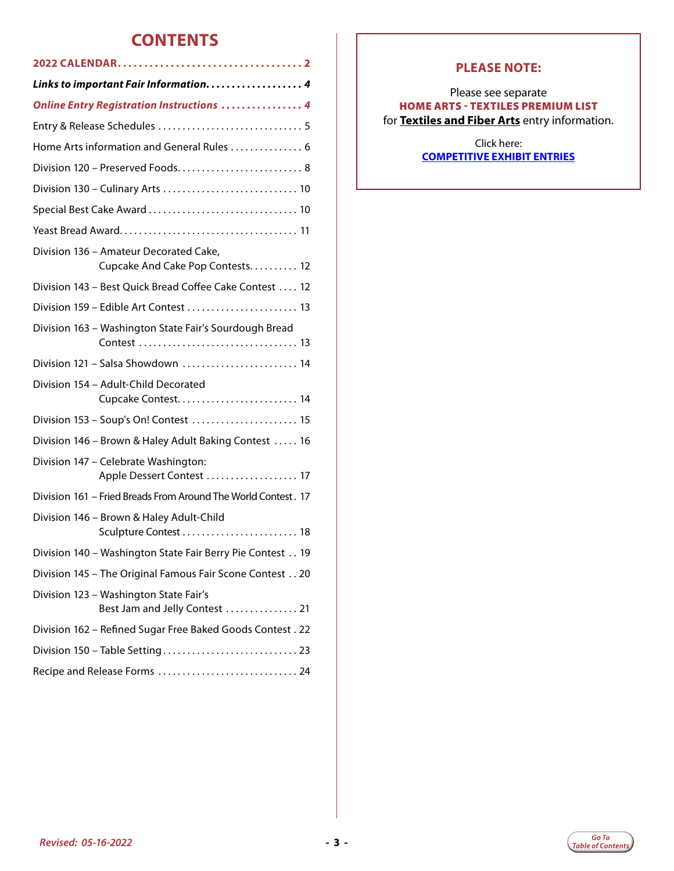### **CONTENTS**

| <b>Online Entry Registration Instructions  4</b>                           |  |  |
|----------------------------------------------------------------------------|--|--|
|                                                                            |  |  |
| Home Arts information and General Rules  6                                 |  |  |
| Division 120 - Preserved Foods 8                                           |  |  |
|                                                                            |  |  |
|                                                                            |  |  |
|                                                                            |  |  |
| Division 136 – Amateur Decorated Cake,<br>Cupcake And Cake Pop Contests 12 |  |  |
| Division 143 - Best Quick Bread Coffee Cake Contest  12                    |  |  |
| Division 159 - Edible Art Contest  13                                      |  |  |
| Division 163 - Washington State Fair's Sourdough Bread                     |  |  |
| Division 121 - Salsa Showdown  14                                          |  |  |
| Division 154 - Adult-Child Decorated                                       |  |  |
| Division 153 - Soup's On! Contest  15                                      |  |  |
| Division 146 - Brown & Haley Adult Baking Contest  16                      |  |  |
| Division 147 - Celebrate Washington:<br>Apple Dessert Contest  17          |  |  |
| Division 161 - Fried Breads From Around The World Contest. 17              |  |  |
| Division 146 - Brown & Haley Adult-Child                                   |  |  |
| Division 140 - Washington State Fair Berry Pie Contest 19                  |  |  |
| Division 145 - The Original Famous Fair Scone Contest 20                   |  |  |
| Division 123 - Washington State Fair's<br>Best Jam and Jelly Contest  21   |  |  |
| Division 162 - Refined Sugar Free Baked Goods Contest. 22                  |  |  |
|                                                                            |  |  |
| Recipe and Release Forms  24                                               |  |  |

### **PLEASE NOTE:**

#### Please see separate HOME ARTS - TEXTILES PREMIUM LIST for **Textiles and Fiber Arts** entry information.

#### Click here: **[COMPETITIVE EXHIBIT ENTRIES](http://www.thefair.com/participate/exhibit-entries)**

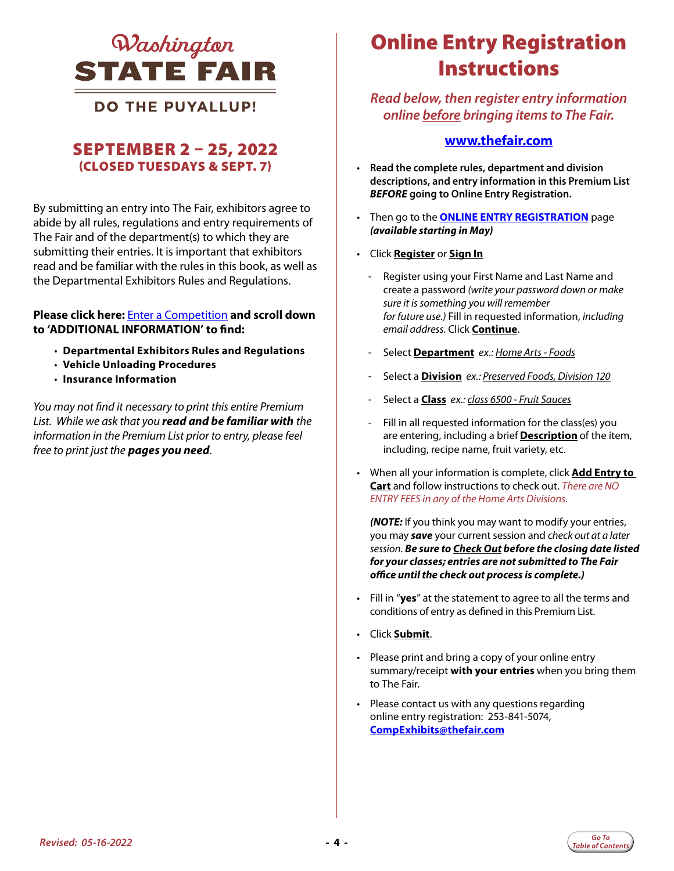<span id="page-3-0"></span>

### **DO THE PUYALLUP!**

### SEPTEMBER 2 – 25, 2022 (CLOSED TUESDAYS & SEPT. 7)

By submitting an entry into The Fair, exhibitors agree to abide by all rules, regulations and entry requirements of The Fair and of the department(s) to which they are submitting their entries. It is important that exhibitors read and be familiar with the rules in this book, as well as the Departmental Exhibitors Rules and Regulations.

#### **Please click here:** [Enter a Competition](https://www.thefair.com/get-involved/competitive-exhibits/) **and scroll down to 'ADDITIONAL INFORMATION' to find:**

- **Departmental Exhibitors Rules and Regulations**
- **Vehicle Unloading Procedures**
- **Insurance Information**

*You may not find it necessary to print this entire Premium List. While we ask that you read and be familiar with the information in the Premium List prior to entry, please feel free to print just the pages you need*.

# Online Entry Registration *LINKS TO IMPORTANT FAIR INFORMATION ONLINE ENTRY REGISTRATION*  **Instructions**

*Read below, then register entry information online before bringing items to The Fair.* 

#### **[www.thefair.com](http://www.thefair.com/)**

- **Read the complete rules, department and division descriptions, and entry information in this Premium List**  *BEFORE* **going to Online Entry Registration.**
- Then go to the **[ONLINE ENTRY REGISTRATION](https://wwf.fairwire.com)** page *(available starting in May)*
- Click **Register** or **Sign In**
	- Register using your First Name and Last Name and create a password *(write your password down or make sure it is something you will remember for future use.)* Fill in requested information, *including email address*. Click **Continue**.
	- Select **Department** *ex.: Home Arts Foods*
	- Select a **Division** *ex.: Preserved Foods, Division 120*
	- Select a **Class** *ex.: class 6500 Fruit Sauces*
	- Fill in all requested information for the class(es) you are entering, including a brief **Description** of the item, including, recipe name, fruit variety, etc.
- When all your information is complete, click **Add Entry to Cart** and follow instructions to check out. *There are NO ENTRY FEES in any of the Home Arts Divisions.*

*(NOTE:* If you think you may want to modify your entries, you may *save* your current session and *check out at a later session*. *Be sure to Check Out before the closing date listed for your classes; entries are not submitted to The Fair office until the check out process is complete.)*

- Fill in "**yes**" at the statement to agree to all the terms and conditions of entry as defined in this Premium List.
- Click **Submit**.
- Please print and bring a copy of your online entry summary/receipt **with your entries** when you bring them to The Fair.
- Please contact us with any questions regarding online entry registration: 253-841-5074, **CompExhibits@thefair.com**

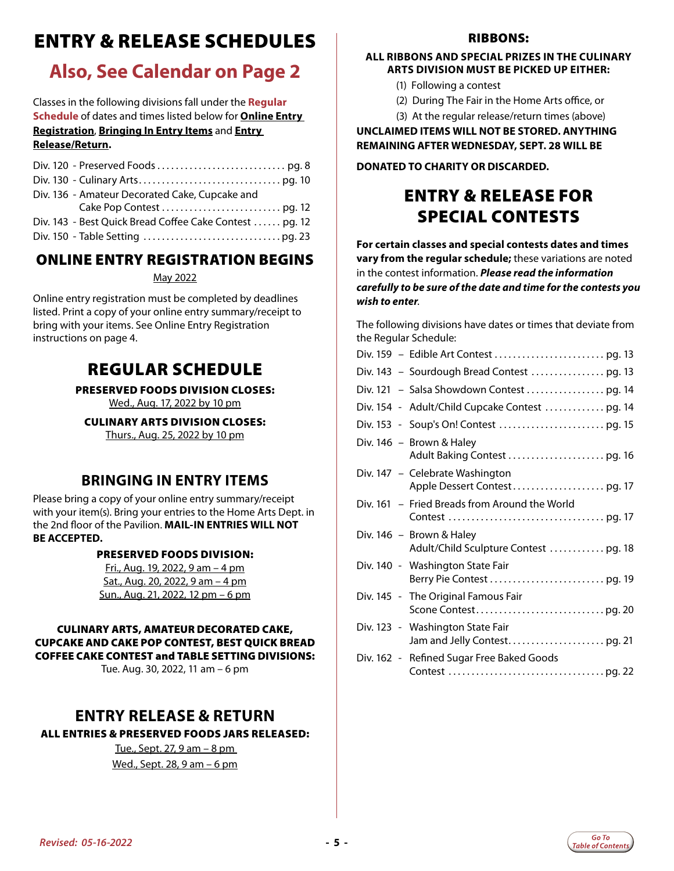# <span id="page-4-0"></span>ENTRY & RELEASE SCHEDULES

### **Also, See Calendar on Page 2**

Classes in the following divisions fall under the **Regular Schedule** of dates and times listed below for **Online Entry Registration**, **Bringing In Entry Items** and **Entry Release/Return.**

| Div. 136 - Amateur Decorated Cake, Cupcake and          |  |
|---------------------------------------------------------|--|
|                                                         |  |
| Div. 143 - Best Quick Bread Coffee Cake Contest  pg. 12 |  |
|                                                         |  |

### ONLINE ENTRY REGISTRATION BEGINS

#### May 2022

Online entry registration must be completed by deadlines listed. Print a copy of your online entry summary/receipt to bring with your items. See Online Entry Registration instructions on page 4.

### REGULAR SCHEDULE

PRESERVED FOODS DIVISION CLOSES:

Wed., Aug. 17, 2022 by 10 pm

CULINARY ARTS DIVISION CLOSES: Thurs., Aug. 25, 2022 by 10 pm

### **BRINGING IN ENTRY ITEMS**

Please bring a copy of your online entry summary/receipt with your item(s). Bring your entries to the Home Arts Dept. in the 2nd floor of the Pavilion. **MAIL-IN ENTRIES WILL NOT BE ACCEPTED.**

#### PRESERVED FOODS DIVISION:

Fri., Aug. 19, 2022, 9 am – 4 pm Sat., Aug. 20, 2022, 9 am – 4 pm Sun., Aug. 21, 2022, 12 pm – 6 pm

#### CULINARY ARTS, AMATEUR DECORATED CAKE, CUPCAKE AND CAKE POP CONTEST, BEST QUICK BREAD COFFEE CAKE CONTEST and TABLE SETTING DIVISIONS:

Tue. Aug. 30, 2022, 11 am – 6 pm

### **ENTRY RELEASE & RETURN**

ALL ENTRIES & PRESERVED FOODS JARS RELEASED:

Tue., Sept. 27, 9 am – 8 pm Wed., Sept. 28, 9 am – 6 pm

#### RIBBONS:

#### **ALL RIBBONS AND SPECIAL PRIZES IN THE CULINARY ARTS DIVISION MUST BE PICKED UP EITHER:**

- (1) Following a contest
- (2) During The Fair in the Home Arts office, or
- (3) At the regular release/return times (above)

**UNCLAIMED ITEMS WILL NOT BE STORED. ANYTHING REMAINING AFTER WEDNESDAY, SEPT. 28 WILL BE** 

#### **DONATED TO CHARITY OR DISCARDED.**

### ENTRY & RELEASE FOR SPECIAL CONTESTS

**For certain classes and special contests dates and times vary from the regular schedule;** these variations are noted in the contest information. *Please read the information carefully to be sure of the date and time for the contests you wish to enter*.

The following divisions have dates or times that deviate from the Regular Schedule:

| Div. 154 - Adult/Child Cupcake Contest  pg. 14 |
|------------------------------------------------|
|                                                |
| Div. 146 – Brown & Haley                       |
| Div. 147 – Celebrate Washington                |
| Div. 161 – Fried Breads from Around the World  |
| Div. $146$ – Brown & Haley                     |
| Div. 140 - Washington State Fair               |
| Div. 145 - The Original Famous Fair            |
| Div. 123 - Washington State Fair               |
| Div. 162 - Refined Sugar Free Baked Goods      |

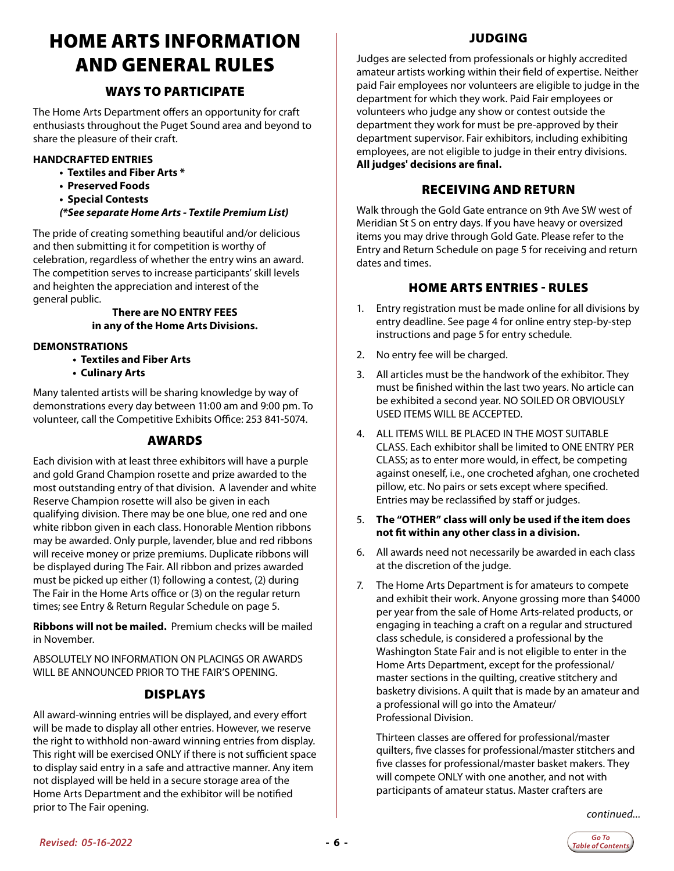# <span id="page-5-0"></span>HOME ARTS INFORMATION AND GENERAL RULES

### WAYS TO PARTICIPATE

The Home Arts Department offers an opportunity for craft enthusiasts throughout the Puget Sound area and beyond to share the pleasure of their craft.

#### **HANDCRAFTED ENTRIES**

- **Textiles and Fiber Arts \***
- **Preserved Foods**
- **Special Contests**
- *(\*See separate Home Arts Textile Premium List)*

The pride of creating something beautiful and/or delicious and then submitting it for competition is worthy of celebration, regardless of whether the entry wins an award. The competition serves to increase participants' skill levels and heighten the appreciation and interest of the general public.

#### **There are NO ENTRY FEES in any of the Home Arts Divisions.**

#### **DEMONSTRATIONS**

- **Textiles and Fiber Arts**
- **Culinary Arts**

Many talented artists will be sharing knowledge by way of demonstrations every day between 11:00 am and 9:00 pm. To volunteer, call the Competitive Exhibits Office: 253 841-5074.

#### AWARDS

Each division with at least three exhibitors will have a purple and gold Grand Champion rosette and prize awarded to the most outstanding entry of that division. A lavender and white Reserve Champion rosette will also be given in each qualifying division. There may be one blue, one red and one white ribbon given in each class. Honorable Mention ribbons may be awarded. Only purple, lavender, blue and red ribbons will receive money or prize premiums. Duplicate ribbons will be displayed during The Fair. All ribbon and prizes awarded must be picked up either (1) following a contest, (2) during The Fair in the Home Arts office or (3) on the regular return times; see Entry & Return Regular Schedule on page 5.

**Ribbons will not be mailed.** Premium checks will be mailed in November.

ABSOLUTELY NO INFORMATION ON PLACINGS OR AWARDS WILL BE ANNOUNCED PRIOR TO THE FAIR'S OPENING.

#### DISPLAYS

All award-winning entries will be displayed, and every effort will be made to display all other entries. However, we reserve the right to withhold non-award winning entries from display. This right will be exercised ONLY if there is not sufficient space to display said entry in a safe and attractive manner. Any item not displayed will be held in a secure storage area of the Home Arts Department and the exhibitor will be notified prior to The Fair opening.

#### JUDGING

Judges are selected from professionals or highly accredited amateur artists working within their field of expertise. Neither paid Fair employees nor volunteers are eligible to judge in the department for which they work. Paid Fair employees or volunteers who judge any show or contest outside the department they work for must be pre-approved by their department supervisor. Fair exhibitors, including exhibiting employees, are not eligible to judge in their entry divisions. **All judges' decisions are final.**

#### RECEIVING AND RETURN

Walk through the Gold Gate entrance on 9th Ave SW west of Meridian St S on entry days. If you have heavy or oversized items you may drive through Gold Gate. Please refer to the Entry and Return Schedule on page 5 for receiving and return dates and times.

#### HOME ARTS ENTRIES - RULES

- 1. Entry registration must be made online for all divisions by entry deadline. See page 4 for online entry step-by-step instructions and page 5 for entry schedule.
- 2. No entry fee will be charged.
- 3. All articles must be the handwork of the exhibitor. They must be finished within the last two years. No article can be exhibited a second year. NO SOILED OR OBVIOUSLY USED ITEMS WILL BE ACCEPTED.
- 4. ALL ITEMS WILL BE PLACED IN THE MOST SUITABLE CLASS. Each exhibitor shall be limited to ONE ENTRY PER CLASS; as to enter more would, in effect, be competing against oneself, i.e., one crocheted afghan, one crocheted pillow, etc. No pairs or sets except where specified. Entries may be reclassified by staff or judges.
- 5. **The "OTHER" class will only be used if the item does not fit within any other class in a division.**
- 6. All awards need not necessarily be awarded in each class at the discretion of the judge.
- 7. The Home Arts Department is for amateurs to compete and exhibit their work. Anyone grossing more than \$4000 per year from the sale of Home Arts-related products, or engaging in teaching a craft on a regular and structured class schedule, is considered a professional by the Washington State Fair and is not eligible to enter in the Home Arts Department, except for the professional/ master sections in the quilting, creative stitchery and basketry divisions. A quilt that is made by an amateur and a professional will go into the Amateur/ Professional Division.

Thirteen classes are offered for professional/master quilters, five classes for professional/master stitchers and five classes for professional/master basket makers. They will compete ONLY with one another, and not with participants of amateur status. Master crafters are

*continued...*

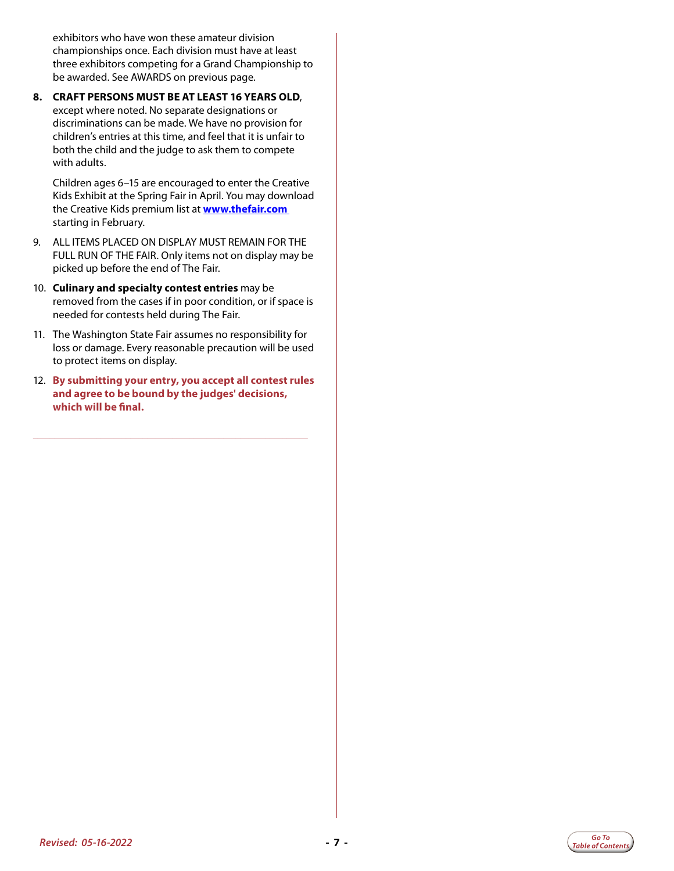exhibitors who have won these amateur division championships once. Each division must have at least three exhibitors competing for a Grand Championship to be awarded. See AWARDS on previous page.

**8. CRAFT PERSONS MUST BE AT LEAST 16 YEARS OLD**, except where noted. No separate designations or discriminations can be made. We have no provision for children's entries at this time, and feel that it is unfair to both the child and the judge to ask them to compete with adults.

Children ages 6–15 are encouraged to enter the Creative Kids Exhibit at the Spring Fair in April. You may download the Creative Kids premium list at **[www.thefair.com](https://www.thefair.com/)**  starting in February.

- 9. ALL ITEMS PLACED ON DISPLAY MUST REMAIN FOR THE FULL RUN OF THE FAIR. Only items not on display may be picked up before the end of The Fair.
- 10. **Culinary and specialty contest entries** may be removed from the cases if in poor condition, or if space is needed for contests held during The Fair.
- 11. The Washington State Fair assumes no responsibility for loss or damage. Every reasonable precaution will be used to protect items on display.
- 12. **By submitting your entry, you accept all contest rules and agree to be bound by the judges' decisions, which will be final.**

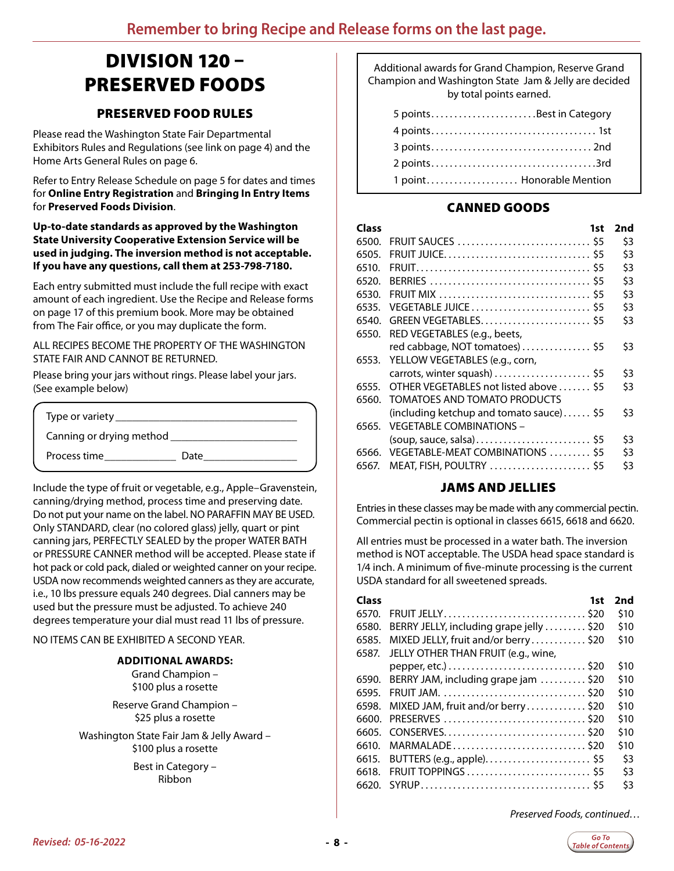# <span id="page-7-0"></span>DIVISION 120 – PRESERVED FOODS

### PRESERVED FOOD RULES

Please read the Washington State Fair Departmental Exhibitors Rules and Regulations (see link on page 4) and the Home Arts General Rules on page 6.

Refer to Entry Release Schedule on page 5 for dates and times for **Online Entry Registration** and **Bringing In Entry Items**  for **Preserved Foods Division**.

#### **Up-to-date standards as approved by the Washington State University Cooperative Extension Service will be used in judging. The inversion method is not acceptable. If you have any questions, call them at 253-798-7180.**

Each entry submitted must include the full recipe with exact amount of each ingredient. Use the Recipe and Release forms on page 17 of this premium book. More may be obtained from The Fair office, or you may duplicate the form.

#### ALL RECIPES BECOME THE PROPERTY OF THE WASHINGTON STATE FAIR AND CANNOT BE RETURNED.

Please bring your jars without rings. Please label your jars. (See example below)

| Type or variety ___      |      |  |
|--------------------------|------|--|
| Canning or drying method |      |  |
| Process time             | Date |  |

Include the type of fruit or vegetable, e.g., Apple–Gravenstein, canning/drying method, process time and preserving date. Do not put your name on the label. NO PARAFFIN MAY BE USED. Only STANDARD, clear (no colored glass) jelly, quart or pint canning jars, PERFECTLY SEALED by the proper WATER BATH or PRESSURE CANNER method will be accepted. Please state if hot pack or cold pack, dialed or weighted canner on your recipe. USDA now recommends weighted canners as they are accurate, i.e., 10 lbs pressure equals 240 degrees. Dial canners may be used but the pressure must be adjusted. To achieve 240 degrees temperature your dial must read 11 lbs of pressure.

#### NO ITEMS CAN BE EXHIBITED A SECOND YEAR.

#### **ADDITIONAL AWARDS:**

Grand Champion – \$100 plus a rosette

Reserve Grand Champion – \$25 plus a rosette

Washington State Fair Jam & Jelly Award – \$100 plus a rosette

> Best in Category – Ribbon

Additional awards for Grand Champion, Reserve Grand Champion and Washington State Jam & Jelly are decided by total points earned.

| 5 pointsBest in Category  |  |
|---------------------------|--|
|                           |  |
|                           |  |
|                           |  |
| 1 point Honorable Mention |  |

### CANNED GOODS

| 1st                                      | 2nd |
|------------------------------------------|-----|
| FRUIT SAUCES  \$5                        | \$3 |
|                                          | \$3 |
|                                          | \$3 |
|                                          | \$3 |
|                                          | \$3 |
| VEGETABLE JUICE \$5                      | \$3 |
| GREEN VEGETABLES \$5                     | \$3 |
| RED VEGETABLES (e.g., beets,             |     |
| red cabbage, NOT tomatoes)  \$5          | \$3 |
| YELLOW VEGETABLES (e.g., corn,           |     |
| carrots, winter squash) \$5              | \$3 |
| OTHER VEGETABLES not listed above  \$5   | \$3 |
| TOMATOES AND TOMATO PRODUCTS             |     |
| (including ketchup and tomato sauce) \$5 | \$3 |
| <b>VEGETABLE COMBINATIONS -</b>          |     |
|                                          | \$3 |
| VEGETABLE-MEAT COMBINATIONS  \$5         | \$3 |
| MEAT, FISH, POULTRY  \$5                 | \$3 |
|                                          |     |

### JAMS AND JELLIES

Entries in these classes may be made with any commercial pectin. Commercial pectin is optional in classes 6615, 6618 and 6620.

All entries must be processed in a water bath. The inversion method is NOT acceptable. The USDA head space standard is 1/4 inch. A minimum of five-minute processing is the current USDA standard for all sweetened spreads.

| <b>Class</b> | 1st                                       | 2nd  |
|--------------|-------------------------------------------|------|
| 6570.        | FRUIT JELLY\$20                           | \$10 |
| 6580.        | BERRY JELLY, including grape jelly  \$20  | \$10 |
| 6585.        | MIXED JELLY, fruit and/or berry\$20       | \$10 |
| 6587.        | JELLY OTHER THAN FRUIT (e.g., wine,       |      |
|              |                                           | \$10 |
|              | 6590. BERRY JAM, including grape jam \$20 | \$10 |
| 6595.        |                                           | \$10 |
| 6598.        | MIXED JAM, fruit and/or berry\$20         | \$10 |
| 6600.        | PRESERVES \$20                            | \$10 |
| 6605.        |                                           | \$10 |
| 6610.        | MARMALADE\$20                             | \$10 |
| 6615.        |                                           | \$3  |
| 6618.        | FRUIT TOPPINGS  \$5                       | \$3  |
| 6620.        |                                           | \$3  |

*Preserved Foods, continued…*

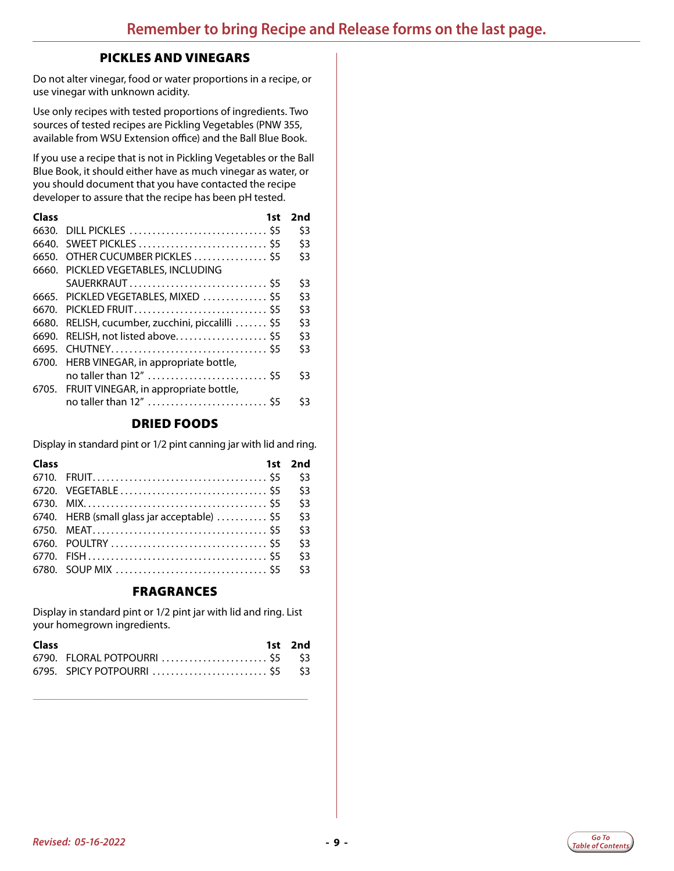#### PICKLES AND VINEGARS

Do not alter vinegar, food or water proportions in a recipe, or use vinegar with unknown acidity.

Use only recipes with tested proportions of ingredients. Two sources of tested recipes are Pickling Vegetables (PNW 355, available from WSU Extension office) and the Ball Blue Book.

If you use a recipe that is not in Pickling Vegetables or the Ball Blue Book, it should either have as much vinegar as water, or you should document that you have contacted the recipe developer to assure that the recipe has been pH tested.

| Class | 1st                                         | 2nd |
|-------|---------------------------------------------|-----|
| 6630. | DILL PICKLES  \$5                           | \$3 |
| 6640. | SWEET PICKLES  \$5                          | \$3 |
| 6650. | OTHER CUCUMBER PICKLES  \$5                 | \$3 |
| 6660. | PICKLED VEGETABLES, INCLUDING               |     |
|       | SAUERKRAUT \$5                              | \$3 |
|       | 6665. PICKLED VEGETABLES, MIXED \$5         | \$3 |
| 6670. | PICKLED FRUIT\$5                            | \$3 |
| 6680. | RELISH, cucumber, zucchini, piccalilli  \$5 | \$3 |
| 6690. | RELISH, not listed above \$5                | \$3 |
| 6695. |                                             | \$3 |
|       | 6700. HERB VINEGAR, in appropriate bottle,  |     |
|       | no taller than 12"  \$5                     | \$3 |
|       | 6705. FRUIT VINEGAR, in appropriate bottle, |     |
|       | no taller than 12"  \$5                     | \$3 |

### DRIED FOODS

Display in standard pint or 1/2 pint canning jar with lid and ring.

| Class |                                                      | 1st 2nd |
|-------|------------------------------------------------------|---------|
|       |                                                      | \$3     |
|       |                                                      | \$3     |
|       |                                                      | \$3     |
|       | 6740. HERB (small glass jar acceptable) $\ldots$ \$5 | \$3     |
|       |                                                      | \$3     |
|       |                                                      | \$3     |
|       |                                                      | \$3     |
|       |                                                      | \$3     |

#### FRAGRANCES

Display in standard pint or 1/2 pint jar with lid and ring. List your homegrown ingredients.

| Class |                                 | 1st 2nd |
|-------|---------------------------------|---------|
|       | 6790. FLORAL POTPOURRI  \$5 \$3 |         |
|       | 6795. SPICY POTPOURRI  \$5 \$3  |         |

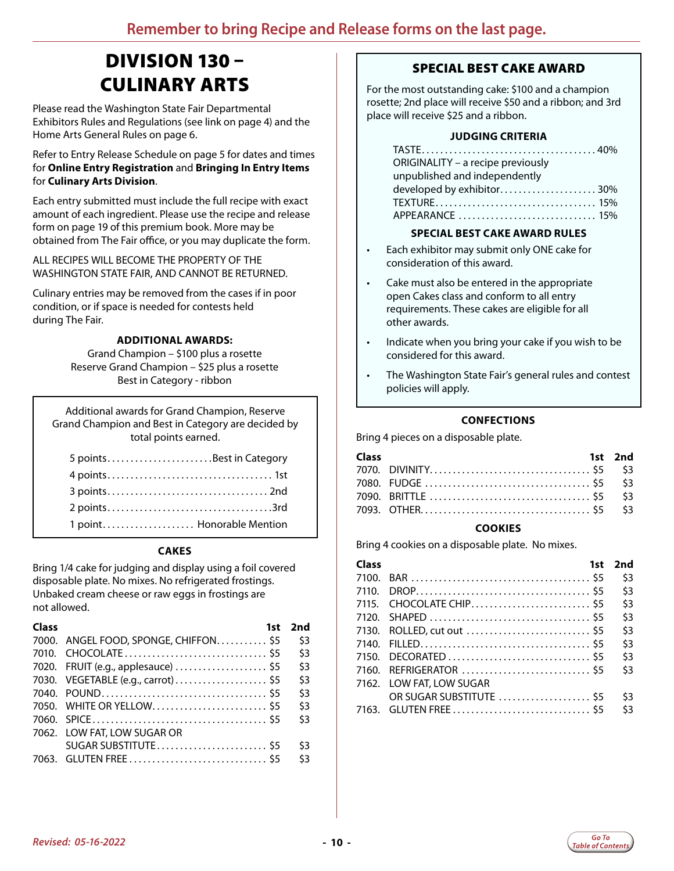# DIVISION 130 – CULINARY ARTS

<span id="page-9-0"></span>Please read the Washington State Fair Departmental Exhibitors Rules and Regulations (see link on page 4) and the Home Arts General Rules on page 6.

Refer to Entry Release Schedule on page 5 for dates and times for **Online Entry Registration** and **Bringing In Entry Items**  for **Culinary Arts Division**.

Each entry submitted must include the full recipe with exact amount of each ingredient. Please use the recipe and release form on page 19 of this premium book. More may be obtained from The Fair office, or you may duplicate the form.

ALL RECIPES WILL BECOME THE PROPERTY OF THE WASHINGTON STATE FAIR, AND CANNOT BE RETURNED.

Culinary entries may be removed from the cases if in poor condition, or if space is needed for contests held during The Fair.

#### **ADDITIONAL AWARDS:**

Grand Champion – \$100 plus a rosette Reserve Grand Champion – \$25 plus a rosette Best in Category - ribbon

Additional awards for Grand Champion, Reserve Grand Champion and Best in Category are decided by total points earned.

| 5 pointsBest in Category  |  |
|---------------------------|--|
|                           |  |
|                           |  |
|                           |  |
| 1 point Honorable Mention |  |

#### **CAKES**

Bring 1/4 cake for judging and display using a foil covered disposable plate. No mixes. No refrigerated frostings. Unbaked cream cheese or raw eggs in frostings are not allowed.

| Class | 1st                                   | 2nd |
|-------|---------------------------------------|-----|
|       | 7000. ANGEL FOOD, SPONGE, CHIFFON \$5 | \$3 |
|       |                                       | \$3 |
|       | 7020. FRUIT (e.g., applesauce)  \$5   | \$3 |
|       | 7030. VEGETABLE (e.g., carrot)  \$5   | \$3 |
|       |                                       | \$3 |
|       | 7050. WHITE OR YELLOW \$5             | \$3 |
|       |                                       | \$3 |
|       | 7062. LOW FAT, LOW SUGAR OR           |     |
|       | SUGAR SUBSTITUTE \$5                  | \$3 |
|       |                                       | \$3 |

### SPECIAL BEST CAKE AWARD

For the most outstanding cake: \$100 and a champion rosette; 2nd place will receive \$50 and a ribbon; and 3rd place will receive \$25 and a ribbon.

#### **JUDGING CRITERIA**

| ORIGINALITY - a recipe previously |  |
|-----------------------------------|--|
| unpublished and independently     |  |
| developed by exhibitor 30%        |  |
|                                   |  |
|                                   |  |

#### **SPECIAL BEST CAKE AWARD RULES**

- Each exhibitor may submit only ONE cake for consideration of this award.
- Cake must also be entered in the appropriate open Cakes class and conform to all entry requirements. These cakes are eligible for all other awards.
- Indicate when you bring your cake if you wish to be considered for this award.
- The Washington State Fair's general rules and contest policies will apply.

#### **CONFECTIONS**

Bring 4 pieces on a disposable plate.

| <b>Class</b> | <b>1st</b> 2nd |  |
|--------------|----------------|--|
|              |                |  |
|              |                |  |
|              |                |  |
|              |                |  |

#### **COOKIES**

Bring 4 cookies on a disposable plate. No mixes.

| Class | 1st                      | 2nd |
|-------|--------------------------|-----|
| 7100  |                          | \$3 |
| 7110  |                          | \$3 |
|       |                          | \$3 |
|       |                          | \$3 |
|       |                          | \$3 |
|       |                          | \$3 |
|       |                          | \$3 |
|       |                          | \$3 |
|       | 7162. LOW FAT, LOW SUGAR |     |
|       | OR SUGAR SUBSTITUTE  \$5 | \$3 |
|       |                          | \$3 |

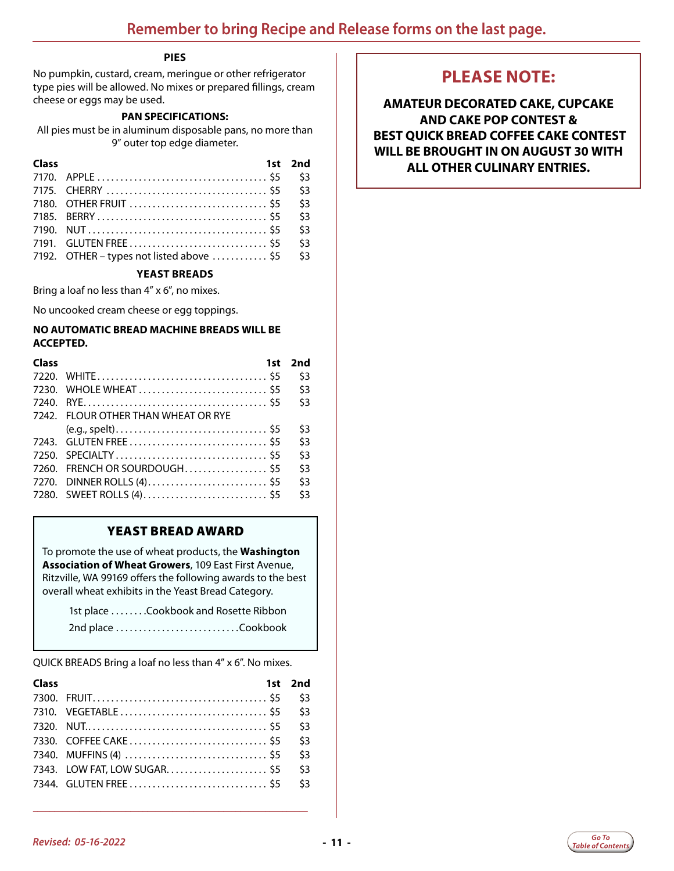#### **PIES**

<span id="page-10-0"></span>No pumpkin, custard, cream, meringue or other refrigerator type pies will be allowed. No mixes or prepared fillings, cream cheese or eggs may be used.

#### **PAN SPECIFICATIONS:**

All pies must be in aluminum disposable pans, no more than 9" outer top edge diameter.

| Class |                                           | 1st 2nd |
|-------|-------------------------------------------|---------|
|       |                                           | \$3     |
|       |                                           | \$3     |
|       |                                           | 53      |
|       |                                           | \$3     |
|       |                                           | \$3     |
|       |                                           | \$3     |
|       | 7192. OTHER – types not listed above  \$5 | \$3     |

#### **YEAST BREADS**

Bring a loaf no less than 4" x 6", no mixes.

No uncooked cream cheese or egg toppings.

#### **NO AUTOMATIC BREAD MACHINE BREADS WILL BE ACCEPTED.**

| Class | 1st                                 | 2nd |
|-------|-------------------------------------|-----|
|       |                                     | \$3 |
|       |                                     | \$3 |
|       |                                     | \$3 |
|       | 7242. FLOUR OTHER THAN WHEAT OR RYE |     |
|       |                                     | \$3 |
|       |                                     | \$3 |
|       |                                     | \$3 |
|       | 7260. FRENCH OR SOURDOUGH\$5        | \$3 |
|       |                                     | \$3 |
|       |                                     | \$3 |

### YEAST BREAD AWARD

To promote the use of wheat products, the **Washington Association of Wheat Growers**, 109 East First Avenue, Ritzville, WA 99169 offers the following awards to the best overall wheat exhibits in the Yeast Bread Category.

1st place . . . . . . . . Cookbook and Rosette Ribbon 2nd place. . Cookbook

QUICK BREADS Bring a loaf no less than 4" x 6". No mixes.

| Class |                              | 1st 2nd |
|-------|------------------------------|---------|
|       |                              | \$3     |
|       |                              | \$3     |
|       |                              | \$3     |
|       |                              | \$3     |
|       |                              | \$3     |
|       | 7343. LOW FAT, LOW SUGAR \$5 | \$3     |
|       |                              | \$3     |

**\_\_\_\_\_\_\_\_\_\_\_\_\_\_\_\_\_\_\_\_\_\_\_\_\_\_\_\_\_\_\_\_\_\_\_\_\_\_\_\_\_\_\_\_\_\_\_\_\_\_\_\_\_\_\_\_\_\_\_\_\_\_\_\_\_**

### **PLEASE NOTE:**

**AMATEUR DECORATED CAKE, CUPCAKE AND CAKE POP CONTEST & BEST QUICK BREAD COFFEE CAKE CONTEST WILL BE BROUGHT IN ON AUGUST 30 WITH ALL OTHER CULINARY ENTRIES.**

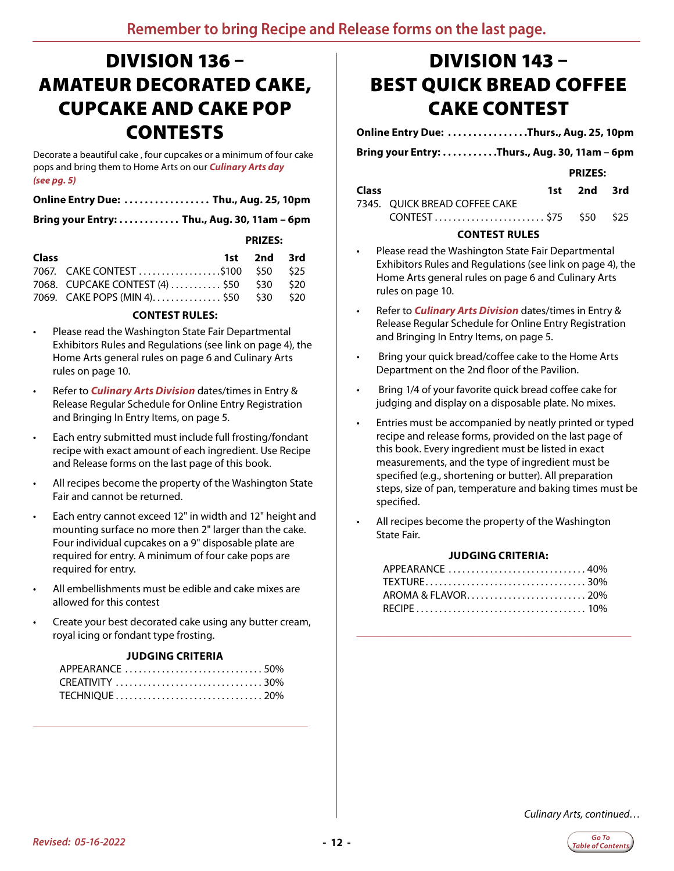# <span id="page-11-0"></span>DIVISION 136 – AMATEUR DECORATED CAKE, CUPCAKE AND CAKE POP CONTESTS

Decorate a beautiful cake , four cupcakes or a minimum of four cake pops and bring them to Home Arts on our *Culinary Arts day (see pg. 5)*

| Online Entry Due:  Thu., Aug. 25, 10pm |  |
|----------------------------------------|--|
|----------------------------------------|--|

**Bring your Entry:. . . Thu., Aug. 30, 11am – 6pm**

#### **PRIZES:**

| <b>Class</b> |                                           | 1st 2nd 3rd |  |
|--------------|-------------------------------------------|-------------|--|
|              |                                           |             |  |
|              | 7068. CUPCAKE CONTEST (4)  \$50 \$30 \$20 |             |  |
|              | 7069. CAKE POPS (MIN 4) \$50 \$30 \$20    |             |  |

#### **CONTEST RULES:**

- Please read the Washington State Fair Departmental Exhibitors Rules and Regulations (see link on page 4), the Home Arts general rules on page 6 and Culinary Arts rules on page 10.
- Refer to *Culinary Arts Division* dates/times in Entry & Release Regular Schedule for Online Entry Registration and Bringing In Entry Items, on page 5.
- Each entry submitted must include full frosting/fondant recipe with exact amount of each ingredient. Use Recipe and Release forms on the last page of this book.
- All recipes become the property of the Washington State Fair and cannot be returned.
- Each entry cannot exceed 12" in width and 12" height and mounting surface no more then 2" larger than the cake. Four individual cupcakes on a 9" disposable plate are required for entry. A minimum of four cake pops are required for entry.
- All embellishments must be edible and cake mixes are allowed for this contest
- Create your best decorated cake using any butter cream, royal icing or fondant type frosting.

#### **JUDGING CRITERIA**

**\_\_\_\_\_\_\_\_\_\_\_\_\_\_\_\_\_\_\_\_\_\_\_\_\_\_\_\_\_\_\_\_\_\_\_\_\_\_\_\_\_\_\_\_\_\_\_\_\_\_\_\_\_\_\_\_\_\_\_\_\_\_\_\_\_**

# DIVISION 143 – BEST QUICK BREAD COFFEE CAKE CONTEST

#### **Online Entry Due: ...............Thurs., Aug. 25, 10pm**

Bring your Entry: . . . . . . . . . . . Thurs., Aug. 30, 11am - 6pm

*PRIZES:* 

| <b>Class</b> |                               | 1st 2nd 3rd |  |
|--------------|-------------------------------|-------------|--|
|              | 7345. QUICK BREAD COFFEE CAKE |             |  |
|              |                               |             |  |

#### **CONTEST RULES**

- Please read the Washington State Fair Departmental Exhibitors Rules and Regulations (see link on page 4), the Home Arts general rules on page 6 and Culinary Arts rules on page 10.
- Refer to *Culinary Arts Division* dates/times in Entry & Release Regular Schedule for Online Entry Registration and Bringing In Entry Items, on page 5.
- Bring your quick bread/coffee cake to the Home Arts Department on the 2nd floor of the Pavilion.
- Bring 1/4 of your favorite quick bread coffee cake for judging and display on a disposable plate. No mixes.
- Entries must be accompanied by neatly printed or typed recipe and release forms, provided on the last page of this book. Every ingredient must be listed in exact measurements, and the type of ingredient must be specified (e.g., shortening or butter). All preparation steps, size of pan, temperature and baking times must be specified.
- All recipes become the property of the Washington State Fair.

#### **JUDGING CRITERIA:**

| APPEARANCE 40% |  |
|----------------|--|
|                |  |
|                |  |
|                |  |

**\_\_\_\_\_\_\_\_\_\_\_\_\_\_\_\_\_\_\_\_\_\_\_\_\_\_\_\_\_\_\_\_\_\_\_\_\_\_\_\_\_\_\_\_\_\_\_\_\_\_\_\_\_\_\_\_\_\_\_\_\_\_\_\_\_**

*Culinary Arts, continued…*

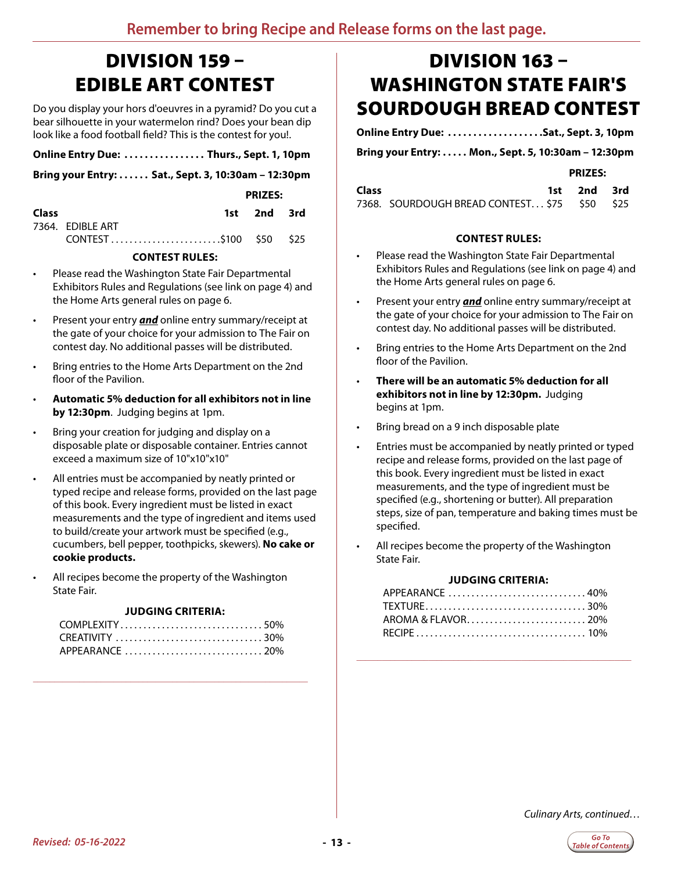# <span id="page-12-0"></span>DIVISION 159 – EDIBLE ART CONTEST

Do you display your hors d'oeuvres in a pyramid? Do you cut a bear silhouette in your watermelon rind? Does your bean dip look like a food football field? This is the contest for you!.

|  | Online Entry Due:  Thurs., Sept. 1, 10pm |  |  |  |
|--|------------------------------------------|--|--|--|
|  |                                          |  |  |  |

**Bring your Entry:. . . Sat., Sept. 3, 10:30am – 12:30pm**

 **PRIZES:** 

| <b>Class</b> |                        | 1st 2nd 3rd |  |
|--------------|------------------------|-------------|--|
|              | 7364. EDIBLE ART       |             |  |
|              | CONTEST\$100 \$50 \$25 |             |  |

#### **CONTEST RULES:**

- Please read the Washington State Fair Departmental Exhibitors Rules and Regulations (see link on page 4) and the Home Arts general rules on page 6.
- Present your entry *and* online entry summary/receipt at the gate of your choice for your admission to The Fair on contest day. No additional passes will be distributed.
- Bring entries to the Home Arts Department on the 2nd floor of the Pavilion.
- **Automatic 5% deduction for all exhibitors not in line by 12:30pm**. Judging begins at 1pm.
- Bring your creation for judging and display on a disposable plate or disposable container. Entries cannot exceed a maximum size of 10"x10"x10"
- All entries must be accompanied by neatly printed or typed recipe and release forms, provided on the last page of this book. Every ingredient must be listed in exact measurements and the type of ingredient and items used to build/create your artwork must be specified (e.g., cucumbers, bell pepper, toothpicks, skewers). **No cake or cookie products.**
- All recipes become the property of the Washington State Fair.

#### **JUDGING CRITERIA:**

**\_\_\_\_\_\_\_\_\_\_\_\_\_\_\_\_\_\_\_\_\_\_\_\_\_\_\_\_\_\_\_\_\_\_\_\_\_\_\_\_\_\_\_\_\_\_\_\_\_\_\_\_\_\_\_\_\_\_\_\_\_\_\_\_\_**

# DIVISION 163 – WASHINGTON STATE FAIR'S SOURDOUGH BREAD CONTEST

**Online Entry Due: ...................Sat., Sept. 3, 10pm** 

**Bring your Entry:. . . Mon., Sept. 5, 10:30am – 12:30pm**

*PRIZES:* 

| <b>Class</b> |                                              | 1st 2nd 3rd |  |
|--------------|----------------------------------------------|-------------|--|
|              | 7368. SOURDOUGH BREAD CONTEST \$75 \$50 \$25 |             |  |

#### **CONTEST RULES:**

- Please read the Washington State Fair Departmental Exhibitors Rules and Regulations (see link on page 4) and the Home Arts general rules on page 6.
- Present your entry *and* online entry summary/receipt at the gate of your choice for your admission to The Fair on contest day. No additional passes will be distributed.
- Bring entries to the Home Arts Department on the 2nd floor of the Pavilion.
- **There will be an automatic 5% deduction for all exhibitors not in line by 12:30pm.** Judging begins at 1pm.
- Bring bread on a 9 inch disposable plate
- Entries must be accompanied by neatly printed or typed recipe and release forms, provided on the last page of this book. Every ingredient must be listed in exact measurements, and the type of ingredient must be specified (e.g., shortening or butter). All preparation steps, size of pan, temperature and baking times must be specified.
- All recipes become the property of the Washington State Fair.

#### **JUDGING CRITERIA:**

| APPEARANCE 40% |  |
|----------------|--|
|                |  |
|                |  |
|                |  |

**\_\_\_\_\_\_\_\_\_\_\_\_\_\_\_\_\_\_\_\_\_\_\_\_\_\_\_\_\_\_\_\_\_\_\_\_\_\_\_\_\_\_\_\_\_\_\_\_\_\_\_\_\_\_\_\_\_\_\_\_\_\_\_\_\_**

*Culinary Arts, continued…*

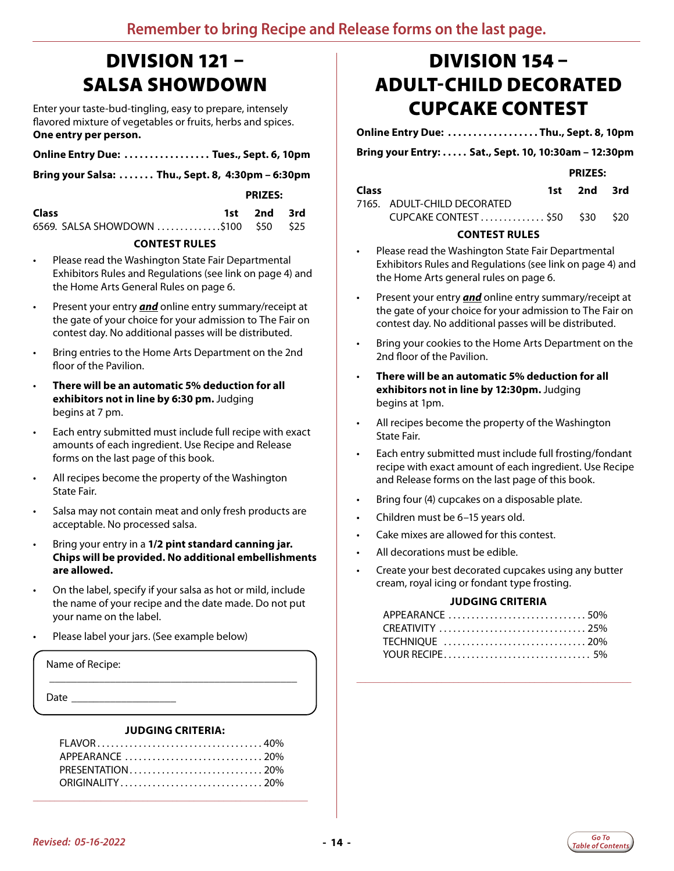# <span id="page-13-0"></span>DIVISION 121 – SALSA SHOWDOWN

Enter your taste-bud-tingling, easy to prepare, intensely flavored mixture of vegetables or fruits, herbs and spices. **One entry per person.**

| Online Entry Due:  Tues., Sept. 6, 10pm |  |  |
|-----------------------------------------|--|--|
|                                         |  |  |

**Bring your Salsa:. . . Thu., Sept. 8, 4:30pm – 6:30pm**

 **PRIZES:**

| Class                                | 1st 2nd 3rd |  |
|--------------------------------------|-------------|--|
| 6569. SALSA SHOWDOWN \$100 \$50 \$25 |             |  |

#### **CONTEST RULES**

- Please read the Washington State Fair Departmental Exhibitors Rules and Regulations (see link on page 4) and the Home Arts General Rules on page 6.
- Present your entry *and* online entry summary/receipt at the gate of your choice for your admission to The Fair on contest day. No additional passes will be distributed.
- Bring entries to the Home Arts Department on the 2nd floor of the Pavilion.
- **There will be an automatic 5% deduction for all exhibitors not in line by 6:30 pm.** Judging begins at 7 pm.
- Each entry submitted must include full recipe with exact amounts of each ingredient. Use Recipe and Release forms on the last page of this book.
- All recipes become the property of the Washington State Fair.
- Salsa may not contain meat and only fresh products are acceptable. No processed salsa.
- Bring your entry in a **1/2 pint standard canning jar. Chips will be provided. No additional embellishments are allowed.**
- On the label, specify if your salsa as hot or mild, include the name of your recipe and the date made. Do not put your name on the label.
- Please label your jars. (See example below)

Name of Recipe:

Date

#### **JUDGING CRITERIA:**

\_\_\_\_\_\_\_\_\_\_\_\_\_\_\_\_\_\_\_\_\_\_\_\_\_\_\_\_\_\_\_\_\_\_\_\_\_\_\_\_\_\_\_\_\_

**\_\_\_\_\_\_\_\_\_\_\_\_\_\_\_\_\_\_\_\_\_\_\_\_\_\_\_\_\_\_\_\_\_\_\_\_\_\_\_\_\_\_\_\_\_\_\_\_\_\_\_\_\_\_\_\_\_\_\_\_\_\_\_\_\_**

# DIVISION 154 – ADULT-CHILD DECORATED CUPCAKE CONTEST

**Online Entry Due:. . . Thu., Sept. 8, 10pm**

**Bring your Entry:. . . Sat., Sept. 10, 10:30am – 12:30pm**

 **PRIZES:**

| <b>Class</b> |                                | 1st 2nd 3rd |  |
|--------------|--------------------------------|-------------|--|
|              | 7165. ADULT-CHILD DECORATED    |             |  |
|              | CUPCAKE CONTEST \$50 \$30 \$20 |             |  |

#### **CONTEST RULES**

- Please read the Washington State Fair Departmental Exhibitors Rules and Regulations (see link on page 4) and the Home Arts general rules on page 6.
- Present your entry *and* online entry summary/receipt at the gate of your choice for your admission to The Fair on contest day. No additional passes will be distributed.
- Bring your cookies to the Home Arts Department on the 2nd floor of the Pavilion.
- **There will be an automatic 5% deduction for all exhibitors not in line by 12:30pm.** Judging begins at 1pm.
- All recipes become the property of the Washington State Fair.
- Each entry submitted must include full frosting/fondant recipe with exact amount of each ingredient. Use Recipe and Release forms on the last page of this book.
- Bring four (4) cupcakes on a disposable plate.
- Children must be 6–15 years old.
- Cake mixes are allowed for this contest.
- All decorations must be edible.
- Create your best decorated cupcakes using any butter cream, royal icing or fondant type frosting.

#### **JUDGING CRITERIA**

| APPEARANCE 50%  |  |
|-----------------|--|
| CREATIVITY  25% |  |
|                 |  |
|                 |  |

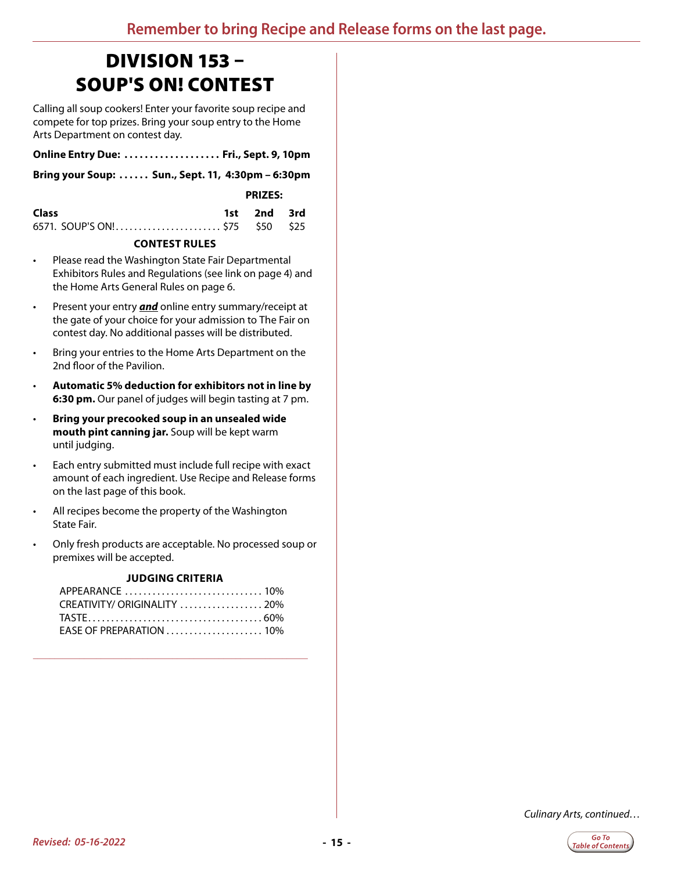# <span id="page-14-0"></span>DIVISION 153 – SOUP'S ON! CONTEST

Calling all soup cookers! Enter your favorite soup recipe and compete for top prizes. Bring your soup entry to the Home Arts Department on contest day.

| Online Entry Due:  Fri., Sept. 9, 10pm |  |  |
|----------------------------------------|--|--|
|                                        |  |  |

**Bring your Soup:. . . Sun., Sept. 11, 4:30pm – 6:30pm**

 **PRIZES:**

| Class                           | 1st 2nd 3rd |  |
|---------------------------------|-------------|--|
| 6571. SOUP'S ON! \$75 \$50 \$25 |             |  |

#### **CONTEST RULES**

- Please read the Washington State Fair Departmental Exhibitors Rules and Regulations (see link on page 4) and the Home Arts General Rules on page 6.
- Present your entry *and* online entry summary/receipt at the gate of your choice for your admission to The Fair on contest day. No additional passes will be distributed.
- Bring your entries to the Home Arts Department on the 2nd floor of the Pavilion.
- **Automatic 5% deduction for exhibitors not in line by 6:30 pm.** Our panel of judges will begin tasting at 7 pm.
- **Bring your precooked soup in an unsealed wide mouth pint canning jar.** Soup will be kept warm until judging.
- Each entry submitted must include full recipe with exact amount of each ingredient. Use Recipe and Release forms on the last page of this book.
- All recipes become the property of the Washington State Fair.
- Only fresh products are acceptable. No processed soup or premixes will be accepted.

#### **JUDGING CRITERIA**

| APPEARANCE  10%              |  |
|------------------------------|--|
| CREATIVITY/ ORIGINALITY  20% |  |
|                              |  |
| EASE OF PREPARATION  10%     |  |

**\_\_\_\_\_\_\_\_\_\_\_\_\_\_\_\_\_\_\_\_\_\_\_\_\_\_\_\_\_\_\_\_\_\_\_\_\_\_\_\_\_\_\_\_\_\_\_\_\_\_\_\_\_\_\_\_\_\_\_\_\_\_\_\_\_**

*Culinary Arts, continued…*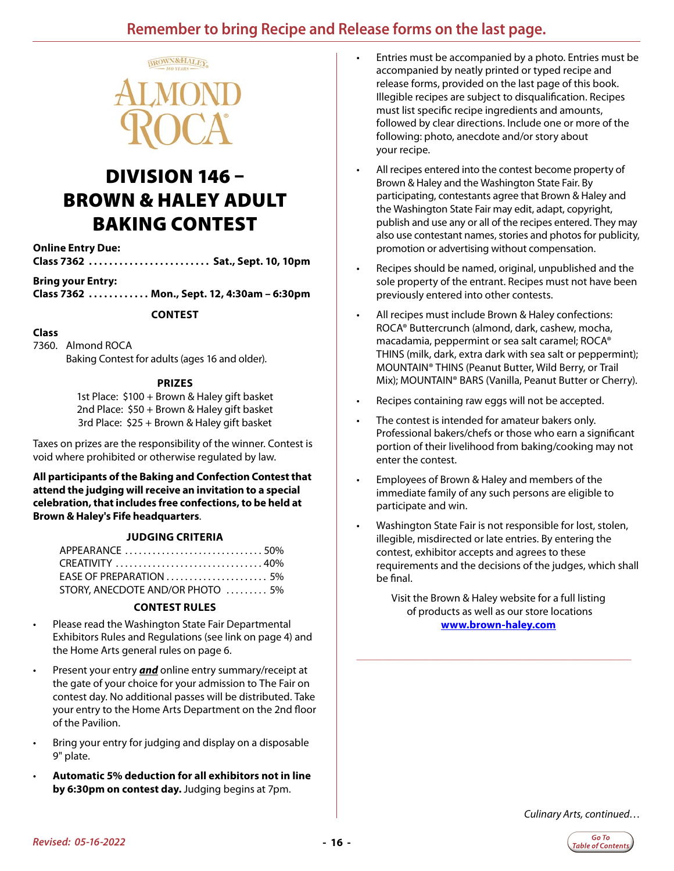### **Remember to bring Recipe and Release forms on the last page.**

<span id="page-15-0"></span>

# DIVISION 146 – BROWN & HALEY ADULT BAKING CONTEST

**Online Entry Due:**

**Class 7362. . . Sat., Sept. 10, 10pm**

**Bring your Entry:**

**Class 7362. . . Mon., Sept. 12, 4:30am – 6:30pm**

#### **CONTEST**

#### **Class**

7360. Almond ROCA Baking Contest for adults (ages 16 and older).

#### **PRIZES**

1st Place: \$100 + Brown & Haley gift basket 2nd Place: \$50 + Brown & Haley gift basket 3rd Place: \$25 + Brown & Haley gift basket

Taxes on prizes are the responsibility of the winner. Contest is void where prohibited or otherwise regulated by law.

**All participants of the Baking and Confection Contest that attend the judging will receive an invitation to a special celebration, that includes free confections, to be held at Brown & Haley's Fife headquarters**.

#### **JUDGING CRITERIA**

| APPEARANCE 50%                                                      |  |
|---------------------------------------------------------------------|--|
|                                                                     |  |
| EASE OF PREPARATION $\ldots \ldots \ldots \ldots \ldots \ldots 5\%$ |  |
| STORY, ANECDOTE AND/OR PHOTO  5%                                    |  |

#### **CONTEST RULES**

- Please read the Washington State Fair Departmental Exhibitors Rules and Regulations (see link on page 4) and the Home Arts general rules on page 6.
- Present your entry *and* online entry summary/receipt at the gate of your choice for your admission to The Fair on contest day. No additional passes will be distributed. Take your entry to the Home Arts Department on the 2nd floor of the Pavilion.
- Bring your entry for judging and display on a disposable 9" plate.
- **Automatic 5% deduction for all exhibitors not in line by 6:30pm on contest day.** Judging begins at 7pm.
- Entries must be accompanied by a photo. Entries must be accompanied by neatly printed or typed recipe and release forms, provided on the last page of this book. Illegible recipes are subject to disqualification. Recipes must list specific recipe ingredients and amounts, followed by clear directions. Include one or more of the following: photo, anecdote and/or story about your recipe.
- All recipes entered into the contest become property of Brown & Haley and the Washington State Fair. By participating, contestants agree that Brown & Haley and the Washington State Fair may edit, adapt, copyright, publish and use any or all of the recipes entered. They may also use contestant names, stories and photos for publicity, promotion or advertising without compensation.
- Recipes should be named, original, unpublished and the sole property of the entrant. Recipes must not have been previously entered into other contests.
- All recipes must include Brown & Haley confections: ROCA® Buttercrunch (almond, dark, cashew, mocha, macadamia, peppermint or sea salt caramel; ROCA® THINS (milk, dark, extra dark with sea salt or peppermint); MOUNTAIN® THINS (Peanut Butter, Wild Berry, or Trail Mix); MOUNTAIN® BARS (Vanilla, Peanut Butter or Cherry).
- Recipes containing raw eggs will not be accepted.
- The contest is intended for amateur bakers only. Professional bakers/chefs or those who earn a significant portion of their livelihood from baking/cooking may not enter the contest.
- Employees of Brown & Haley and members of the immediate family of any such persons are eligible to participate and win.
- Washington State Fair is not responsible for lost, stolen, illegible, misdirected or late entries. By entering the contest, exhibitor accepts and agrees to these requirements and the decisions of the judges, which shall be final.

Visit the Brown & Haley website for a full listing of products as well as our store locations **www.brown-haley.com**

**\_\_\_\_\_\_\_\_\_\_\_\_\_\_\_\_\_\_\_\_\_\_\_\_\_\_\_\_\_\_\_\_\_\_\_\_\_\_\_\_\_\_\_\_\_\_\_\_\_\_\_\_\_\_\_\_\_\_\_\_\_\_\_\_\_**

*Culinary Arts, continued…*

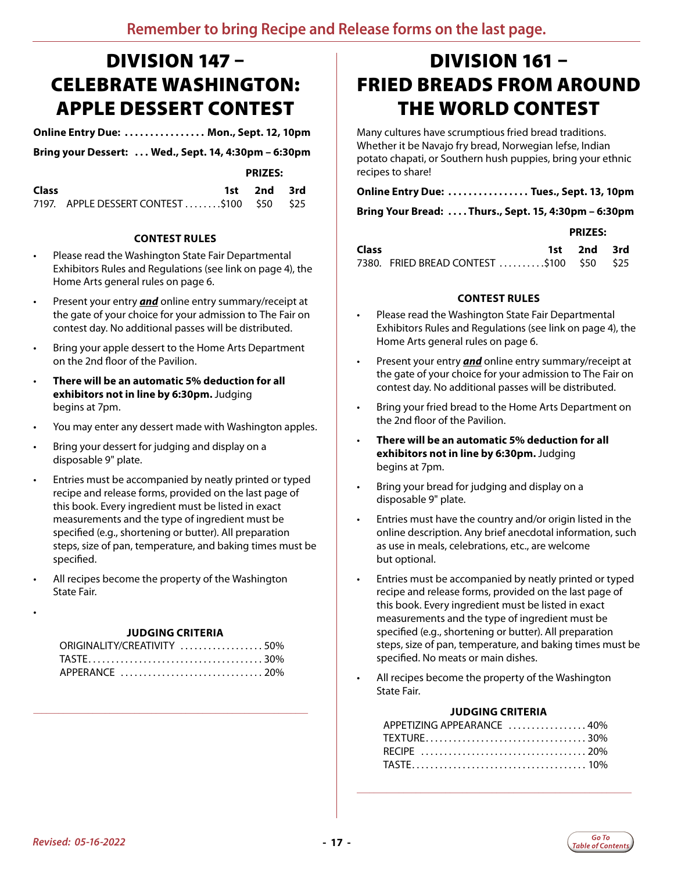# <span id="page-16-0"></span>DIVISION 147 – CELEBRATE WASHINGTON: APPLE DESSERT CONTEST

**Online Entry Due: . . Mon., Sept. 12, 10pm**

**Bring your Dessert: . . Wed., Sept. 14, 4:30pm – 6:30pm**

*PRIZES:* 

| Class |                                             | 1st 2nd 3rd |  |
|-------|---------------------------------------------|-------------|--|
|       | 7197. APPLE DESSERT CONTEST \$100 \$50 \$25 |             |  |

#### **CONTEST RULES**

- Please read the Washington State Fair Departmental Exhibitors Rules and Regulations (see link on page 4), the Home Arts general rules on page 6.
- Present your entry *and* online entry summary/receipt at the gate of your choice for your admission to The Fair on contest day. No additional passes will be distributed.
- Bring your apple dessert to the Home Arts Department on the 2nd floor of the Pavilion.
- **There will be an automatic 5% deduction for all exhibitors not in line by 6:30pm.** Judging begins at 7pm.
- You may enter any dessert made with Washington apples.
- Bring your dessert for judging and display on a disposable 9" plate.
- Entries must be accompanied by neatly printed or typed recipe and release forms, provided on the last page of this book. Every ingredient must be listed in exact measurements and the type of ingredient must be specified (e.g., shortening or butter). All preparation steps, size of pan, temperature, and baking times must be specified.
- All recipes become the property of the Washington State Fair.

| JUDGING CRITERIA |  |
|------------------|--|
|------------------|--|

| ORIGINALITY/CREATIVITY 50% |  |
|----------------------------|--|
|                            |  |
|                            |  |

**\_\_\_\_\_\_\_\_\_\_\_\_\_\_\_\_\_\_\_\_\_\_\_\_\_\_\_\_\_\_\_\_\_\_\_\_\_\_\_\_\_\_\_\_\_\_\_\_\_\_\_\_\_\_\_\_\_\_\_\_\_\_\_\_\_**

# DIVISION 161 – FRIED BREADS FROM AROUND THE WORLD CONTEST

Many cultures have scrumptious fried bread traditions. Whether it be Navajo fry bread, Norwegian lefse, Indian potato chapati, or Southern hush puppies, bring your ethnic recipes to share!

### **Online Entry Due: . . Tues., Sept. 13, 10pm**

**Bring Your Bread: . Thurs., Sept. 15, 4:30pm – 6:30pm**

#### **PRIZES:**

| <b>Class</b> |                                           | 1st 2nd 3rd |  |
|--------------|-------------------------------------------|-------------|--|
|              | 7380. FRIED BREAD CONTEST \$100 \$50 \$25 |             |  |

#### **CONTEST RULES**

- Please read the Washington State Fair Departmental Exhibitors Rules and Regulations (see link on page 4), the Home Arts general rules on page 6.
- Present your entry *and* online entry summary/receipt at the gate of your choice for your admission to The Fair on contest day. No additional passes will be distributed.
- Bring your fried bread to the Home Arts Department on the 2nd floor of the Pavilion.
- **There will be an automatic 5% deduction for all exhibitors not in line by 6:30pm.** Judging begins at 7pm.
- Bring your bread for judging and display on a disposable 9" plate.
- Entries must have the country and/or origin listed in the online description. Any brief anecdotal information, such as use in meals, celebrations, etc., are welcome but optional.
- Entries must be accompanied by neatly printed or typed recipe and release forms, provided on the last page of this book. Every ingredient must be listed in exact measurements and the type of ingredient must be specified (e.g., shortening or butter). All preparation steps, size of pan, temperature, and baking times must be specified. No meats or main dishes.
- All recipes become the property of the Washington State Fair.

#### **JUDGING CRITERIA**

| APPETIZING APPEARANCE 40% |  |
|---------------------------|--|
|                           |  |
|                           |  |
|                           |  |

**\_\_\_\_\_\_\_\_\_\_\_\_\_\_\_\_\_\_\_\_\_\_\_\_\_\_\_\_\_\_\_\_\_\_\_\_\_\_\_\_\_\_\_\_\_\_\_\_\_\_\_\_\_\_\_\_\_\_\_\_\_\_\_\_\_**

•

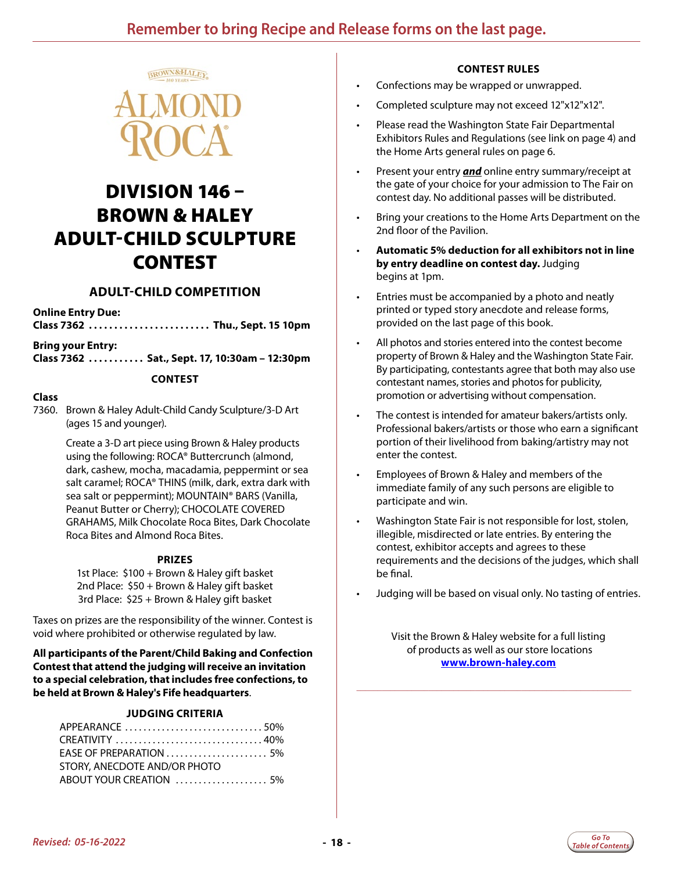<span id="page-17-0"></span>

### DIVISION 146 – BROWN & HALEY ADULT-CHILD SCULPTURE CONTEST

### **ADULT-CHILD COMPETITION**

#### **Online Entry Due:**

**Class 7362. . . Thu., Sept. 15 10pm**

#### **Bring your Entry:**

**Class 7362. . . Sat., Sept. 17, 10:30am – 12:30pm**

#### **CONTEST**

#### **Class**

7360. Brown & Haley Adult-Child Candy Sculpture/3-D Art (ages 15 and younger).

> Create a 3-D art piece using Brown & Haley products using the following: ROCA® Buttercrunch (almond, dark, cashew, mocha, macadamia, peppermint or sea salt caramel; ROCA® THINS (milk, dark, extra dark with sea salt or peppermint); MOUNTAIN® BARS (Vanilla, Peanut Butter or Cherry); CHOCOLATE COVERED GRAHAMS, Milk Chocolate Roca Bites, Dark Chocolate Roca Bites and Almond Roca Bites.

#### **PRIZES**

1st Place: \$100 + Brown & Haley gift basket 2nd Place: \$50 + Brown & Haley gift basket 3rd Place: \$25 + Brown & Haley gift basket

Taxes on prizes are the responsibility of the winner. Contest is void where prohibited or otherwise regulated by law.

**All participants of the Parent/Child Baking and Confection Contest that attend the judging will receive an invitation to a special celebration, that includes free confections, to be held at Brown & Haley's Fife headquarters**.

#### **JUDGING CRITERIA**

| APPEARANCE 50%                                                  |  |
|-----------------------------------------------------------------|--|
| CREATIVITY 40%                                                  |  |
| EASE OF PREPARATION $\ldots \ldots \ldots \ldots \ldots \ldots$ |  |
| STORY, ANECDOTE AND/OR PHOTO                                    |  |
|                                                                 |  |

#### **CONTEST RULES**

- Confections may be wrapped or unwrapped.
- Completed sculpture may not exceed 12"x12"x12".
- Please read the Washington State Fair Departmental Exhibitors Rules and Regulations (see link on page 4) and the Home Arts general rules on page 6.
- Present your entry *and* online entry summary/receipt at the gate of your choice for your admission to The Fair on contest day. No additional passes will be distributed.
- Bring your creations to the Home Arts Department on the 2nd floor of the Pavilion.
- **Automatic 5% deduction for all exhibitors not in line by entry deadline on contest day.** Judging begins at 1pm.
- Entries must be accompanied by a photo and neatly printed or typed story anecdote and release forms, provided on the last page of this book.
- All photos and stories entered into the contest become property of Brown & Haley and the Washington State Fair. By participating, contestants agree that both may also use contestant names, stories and photos for publicity, promotion or advertising without compensation.
- The contest is intended for amateur bakers/artists only. Professional bakers/artists or those who earn a significant portion of their livelihood from baking/artistry may not enter the contest.
- Employees of Brown & Haley and members of the immediate family of any such persons are eligible to participate and win.
- Washington State Fair is not responsible for lost, stolen, illegible, misdirected or late entries. By entering the contest, exhibitor accepts and agrees to these requirements and the decisions of the judges, which shall be final.
- Judging will be based on visual only. No tasting of entries.

Visit the Brown & Haley website for a full listing of products as well as our store locations **[www.brown-haley.com](http://www.brown-haley.com)**

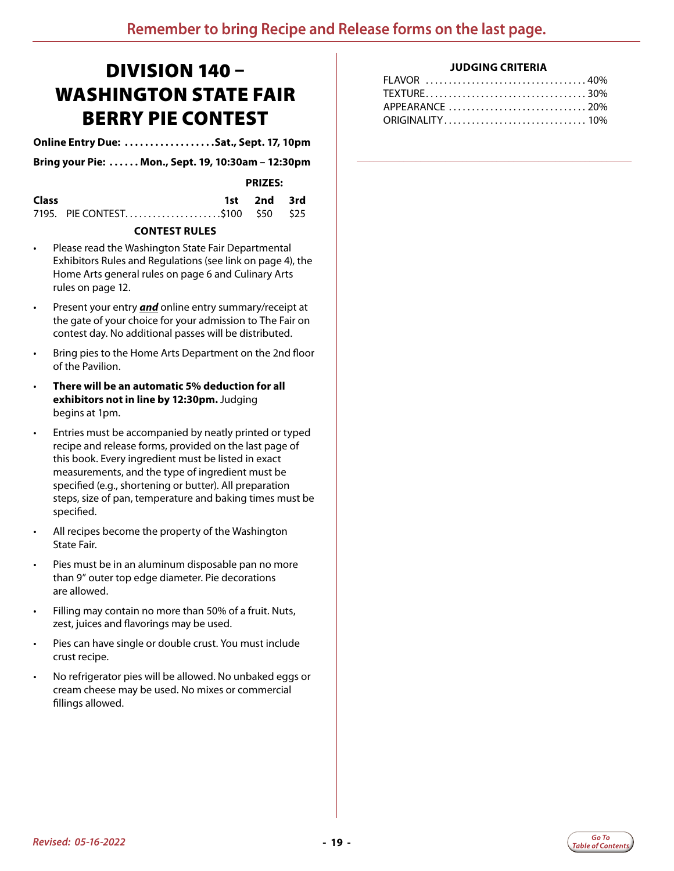### <span id="page-18-0"></span>DIVISION 140 – WASHINGTON STATE FAIR BERRY PIE CONTEST

**Online Entry Due: .................Sat., Sept. 17, 10pm** 

**Bring your Pie:. . . Mon., Sept. 19, 10:30am – 12:30pm**

 **PRIZES:**

| Class |                                  | 1st 2nd 3rd |  |
|-------|----------------------------------|-------------|--|
|       | 7195. PIE CONTEST\$100 \$50 \$25 |             |  |

#### **CONTEST RULES**

- Please read the Washington State Fair Departmental Exhibitors Rules and Regulations (see link on page 4), the Home Arts general rules on page 6 and Culinary Arts rules on page 12.
- Present your entry *and* online entry summary/receipt at the gate of your choice for your admission to The Fair on contest day. No additional passes will be distributed.
- Bring pies to the Home Arts Department on the 2nd floor of the Pavilion.
- **There will be an automatic 5% deduction for all exhibitors not in line by 12:30pm.** Judging begins at 1pm.
- Entries must be accompanied by neatly printed or typed recipe and release forms, provided on the last page of this book. Every ingredient must be listed in exact measurements, and the type of ingredient must be specified (e.g., shortening or butter). All preparation steps, size of pan, temperature and baking times must be specified.
- All recipes become the property of the Washington State Fair.
- Pies must be in an aluminum disposable pan no more than 9" outer top edge diameter. Pie decorations are allowed.
- Filling may contain no more than 50% of a fruit. Nuts, zest, juices and flavorings may be used.
- Pies can have single or double crust. You must include crust recipe.
- No refrigerator pies will be allowed. No unbaked eggs or cream cheese may be used. No mixes or commercial fillings allowed.

#### **JUDGING CRITERIA**

| FLAVOR 40%      |  |
|-----------------|--|
|                 |  |
| APPEARANCE 20%  |  |
| ORIGINALITY 10% |  |

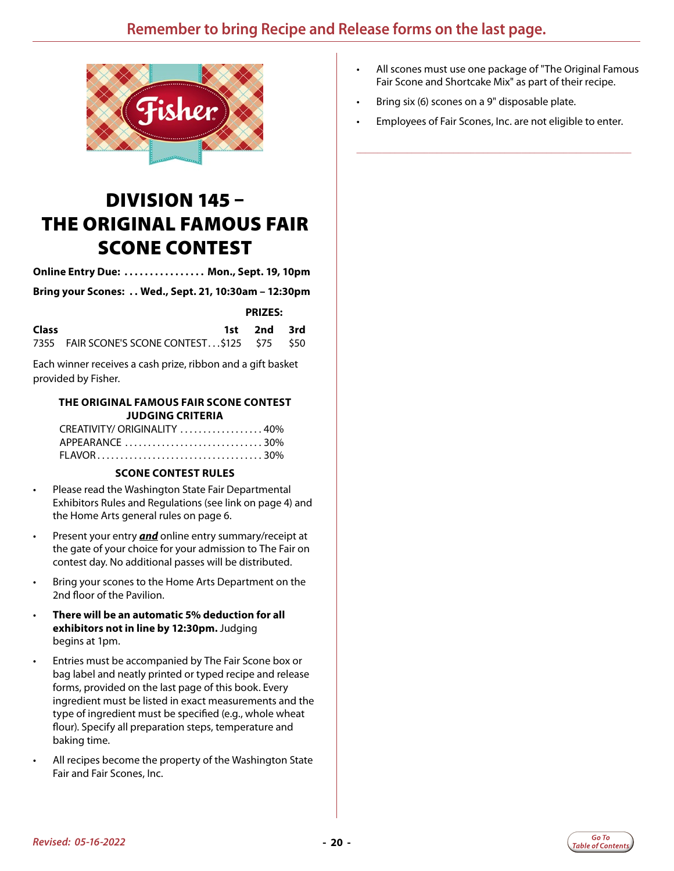<span id="page-19-0"></span>

# DIVISION 145 – THE ORIGINAL FAMOUS FAIR SCONE CONTEST

**Online Entry Due: . . Mon., Sept. 19, 10pm**

**Bring your Scones: . . Wed., Sept. 21, 10:30am – 12:30pm**

 **PRIZES:**

| <b>Class</b> |                                                | 1st 2nd 3rd |  |
|--------------|------------------------------------------------|-------------|--|
|              | 7355 FAIR SCONE'S SCONE CONTEST\$125 \$75 \$50 |             |  |

Each winner receives a cash prize, ribbon and a gift basket provided by Fisher.

#### **THE ORIGINAL FAMOUS FAIR SCONE CONTEST JUDGING CRITERIA**

| CREATIVITY/ ORIGINALITY 40% |  |
|-----------------------------|--|
|                             |  |
|                             |  |

#### **SCONE CONTEST RULES**

- Please read the Washington State Fair Departmental Exhibitors Rules and Regulations (see link on page 4) and the Home Arts general rules on page 6.
- Present your entry *and* online entry summary/receipt at the gate of your choice for your admission to The Fair on contest day. No additional passes will be distributed.
- Bring your scones to the Home Arts Department on the 2nd floor of the Pavilion.
- **There will be an automatic 5% deduction for all exhibitors not in line by 12:30pm.** Judging begins at 1pm.
- Entries must be accompanied by The Fair Scone box or bag label and neatly printed or typed recipe and release forms, provided on the last page of this book. Every ingredient must be listed in exact measurements and the type of ingredient must be specified (e.g., whole wheat flour). Specify all preparation steps, temperature and baking time.
- All recipes become the property of the Washington State Fair and Fair Scones, Inc.
- All scones must use one package of "The Original Famous Fair Scone and Shortcake Mix" as part of their recipe.
- Bring six (6) scones on a 9" disposable plate.
- Employees of Fair Scones, Inc. are not eligible to enter.

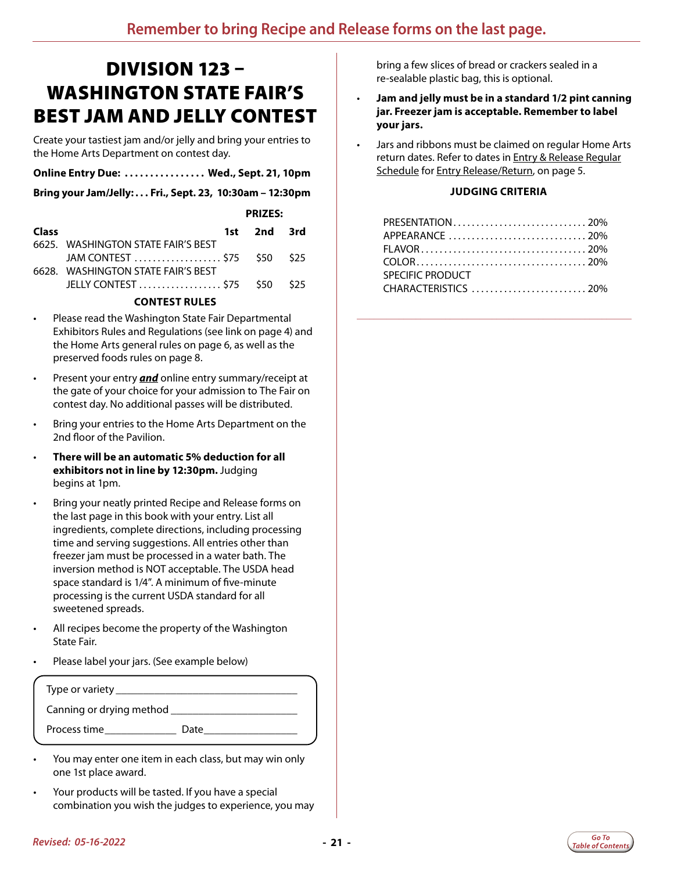# <span id="page-20-0"></span>DIVISION 123 – WASHINGTON STATE FAIR'S BEST JAM AND JELLY CONTEST

Create your tastiest jam and/or jelly and bring your entries to the Home Arts Department on contest day.

| Online Entry Due:  Wed., Sept. 21, 10pm |  |  |  |
|-----------------------------------------|--|--|--|
|-----------------------------------------|--|--|--|

**Bring your Jam/Jelly:. . . Fri., Sept. 23, 10:30am – 12:30pm**

|       |                                    | <b>PRIZES:</b> |  |
|-------|------------------------------------|----------------|--|
| Class |                                    | 1st 2nd 3rd    |  |
|       | 6625. WASHINGTON STATE FAIR'S BEST |                |  |
|       | 6628. WASHINGTON STATE FAIR'S BEST |                |  |

#### **CONTEST RULES**

- Please read the Washington State Fair Departmental Exhibitors Rules and Regulations (see link on page 4) and the Home Arts general rules on page 6, as well as the preserved foods rules on page 8.
- Present your entry *and* online entry summary/receipt at the gate of your choice for your admission to The Fair on contest day. No additional passes will be distributed.
- Bring your entries to the Home Arts Department on the 2nd floor of the Pavilion.
- **There will be an automatic 5% deduction for all exhibitors not in line by 12:30pm.** Judging begins at 1pm.
- Bring your neatly printed Recipe and Release forms on the last page in this book with your entry. List all ingredients, complete directions, including processing time and serving suggestions. All entries other than freezer jam must be processed in a water bath. The inversion method is NOT acceptable. The USDA head space standard is 1/4". A minimum of five-minute processing is the current USDA standard for all sweetened spreads.
- All recipes become the property of the Washington State Fair.
- Please label your jars. (See example below)

| Type or variety __       |      |  |
|--------------------------|------|--|
| Canning or drying method |      |  |
| Process time             | Date |  |

- You may enter one item in each class, but may win only one 1st place award.
- Your products will be tasted. If you have a special combination you wish the judges to experience, you may

bring a few slices of bread or crackers sealed in a re-sealable plastic bag, this is optional.

- **Jam and jelly must be in a standard 1/2 pint canning jar. Freezer jam is acceptable. Remember to label your jars.**
- Jars and ribbons must be claimed on regular Home Arts return dates. Refer to dates in **Entry & Release Regular** Schedule for Entry Release/Return, on page 5.

#### **JUDGING CRITERIA**

| SPECIFIC PRODUCT |  |
|------------------|--|
|                  |  |

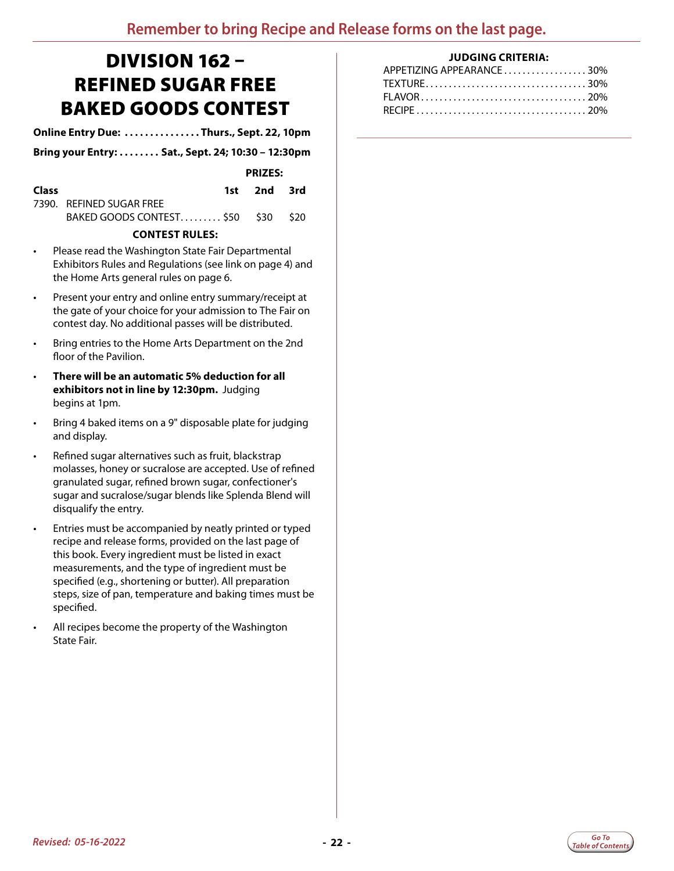# <span id="page-21-0"></span>DIVISION 162 – REFINED SUGAR FREE BAKED GOODS CONTEST

**Online Entry Due:. . . Thurs., Sept. 22, 10pm**

**Bring your Entry:. . . Sat., Sept. 24; 10:30 – 12:30pm**

| <b>PRIZES:</b> |
|----------------|
|                |

| <b>Class</b> |                                    | 1st 2nd 3rd |  |
|--------------|------------------------------------|-------------|--|
|              | 7390. REFINED SUGAR FREE           |             |  |
|              | BAKED GOODS CONTEST \$50 \$30 \$20 |             |  |

#### **CONTEST RULES:**

- Please read the Washington State Fair Departmental Exhibitors Rules and Regulations (see link on page 4) and the Home Arts general rules on page 6.
- Present your entry and online entry summary/receipt at the gate of your choice for your admission to The Fair on contest day. No additional passes will be distributed.
- Bring entries to the Home Arts Department on the 2nd floor of the Pavilion.
- **There will be an automatic 5% deduction for all exhibitors not in line by 12:30pm.** Judging begins at 1pm.
- Bring 4 baked items on a 9" disposable plate for judging and display.
- Refined sugar alternatives such as fruit, blackstrap molasses, honey or sucralose are accepted. Use of refined granulated sugar, refined brown sugar, confectioner's sugar and sucralose/sugar blends like Splenda Blend will disqualify the entry.
- Entries must be accompanied by neatly printed or typed recipe and release forms, provided on the last page of this book. Every ingredient must be listed in exact measurements, and the type of ingredient must be specified (e.g., shortening or butter). All preparation steps, size of pan, temperature and baking times must be specified.
- All recipes become the property of the Washington State Fair.

#### **JUDGING CRITERIA:**

| APPETIZING APPEARANCE30% |  |
|--------------------------|--|
|                          |  |
|                          |  |
|                          |  |
|                          |  |

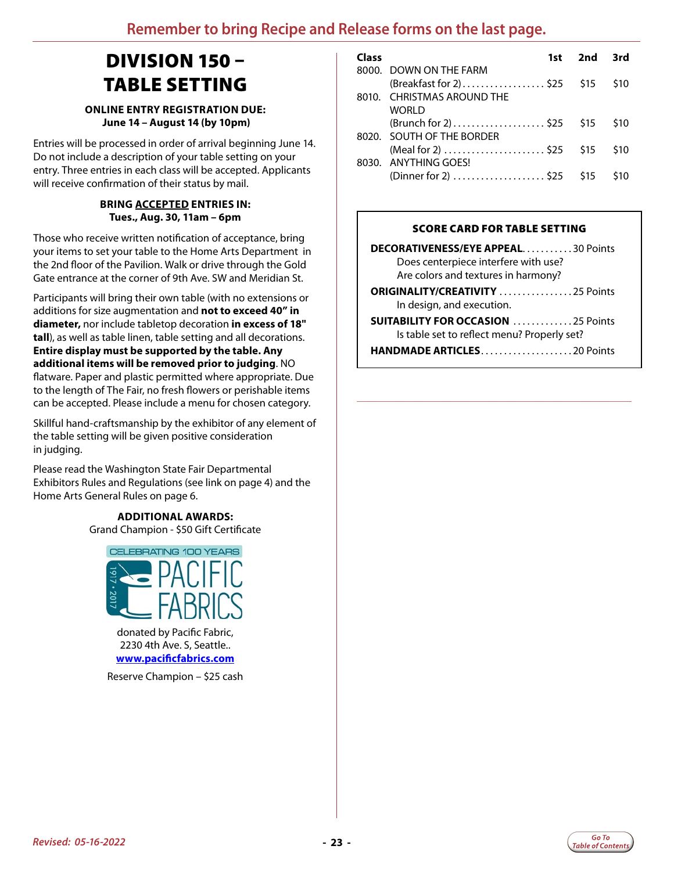# <span id="page-22-0"></span>DIVISION 150 – TABLE SETTING

#### **ONLINE ENTRY REGISTRATION DUE: June 14 – August 14 (by 10pm)**

Entries will be processed in order of arrival beginning June 14. Do not include a description of your table setting on your entry. Three entries in each class will be accepted. Applicants will receive confirmation of their status by mail.

#### **BRING ACCEPTED ENTRIES IN: Tues., Aug. 30, 11am – 6pm**

Those who receive written notification of acceptance, bring your items to set your table to the Home Arts Department in the 2nd floor of the Pavilion. Walk or drive through the Gold Gate entrance at the corner of 9th Ave. SW and Meridian St.

Participants will bring their own table (with no extensions or additions for size augmentation and **not to exceed 40" in diameter,** nor include tabletop decoration **in excess of 18" tall**), as well as table linen, table setting and all decorations. **Entire display must be supported by the table. Any additional items will be removed prior to judging**. NO flatware. Paper and plastic permitted where appropriate. Due to the length of The Fair, no fresh flowers or perishable items can be accepted. Please include a menu for chosen category.

Skillful hand-craftsmanship by the exhibitor of any element of the table setting will be given positive consideration in judging.

Please read the Washington State Fair Departmental Exhibitors Rules and Regulations (see link on page 4) and the Home Arts General Rules on page 6.

> **ADDITIONAL AWARDS:** Grand Champion - \$50 Gift Certificate



donated by Pacific Fabric, 2230 4th Ave. S, Seattle.. **[www.pacificfabrics.com](http://www.pacificfabrics.com)**

Reserve Champion – \$25 cash

| Class |                            | 1st 2nd 3rd |            |
|-------|----------------------------|-------------|------------|
|       | 8000 DOWN ON THE FARM      |             |            |
|       | (Breakfast for 2)\$25 \$15 |             | <b>S10</b> |
|       | 8010. CHRISTMAS AROUND THE |             |            |
|       | WORLD                      |             |            |
|       |                            |             | <b>S10</b> |
|       | 8020 SOUTH OF THE BORDER   |             |            |
|       | (Meal for 2)  \$25 \$15    |             | \$10       |
|       | 8030. ANYTHING GOES!       |             |            |
|       |                            |             | \$10       |
|       |                            |             |            |

#### SCORE CARD FOR TABLE SETTING

| <b>DECORATIVENESS/EYE APPEAL30 Points</b>                                                |
|------------------------------------------------------------------------------------------|
| Does centerpiece interfere with use?                                                     |
| Are colors and textures in harmony?                                                      |
| <b>ORIGINALITY/CREATIVITY</b> 25 Points                                                  |
| In design, and execution.                                                                |
| <b>SUITABILITY FOR OCCASION</b> 25 Points<br>Is table set to reflect menu? Properly set? |
|                                                                                          |